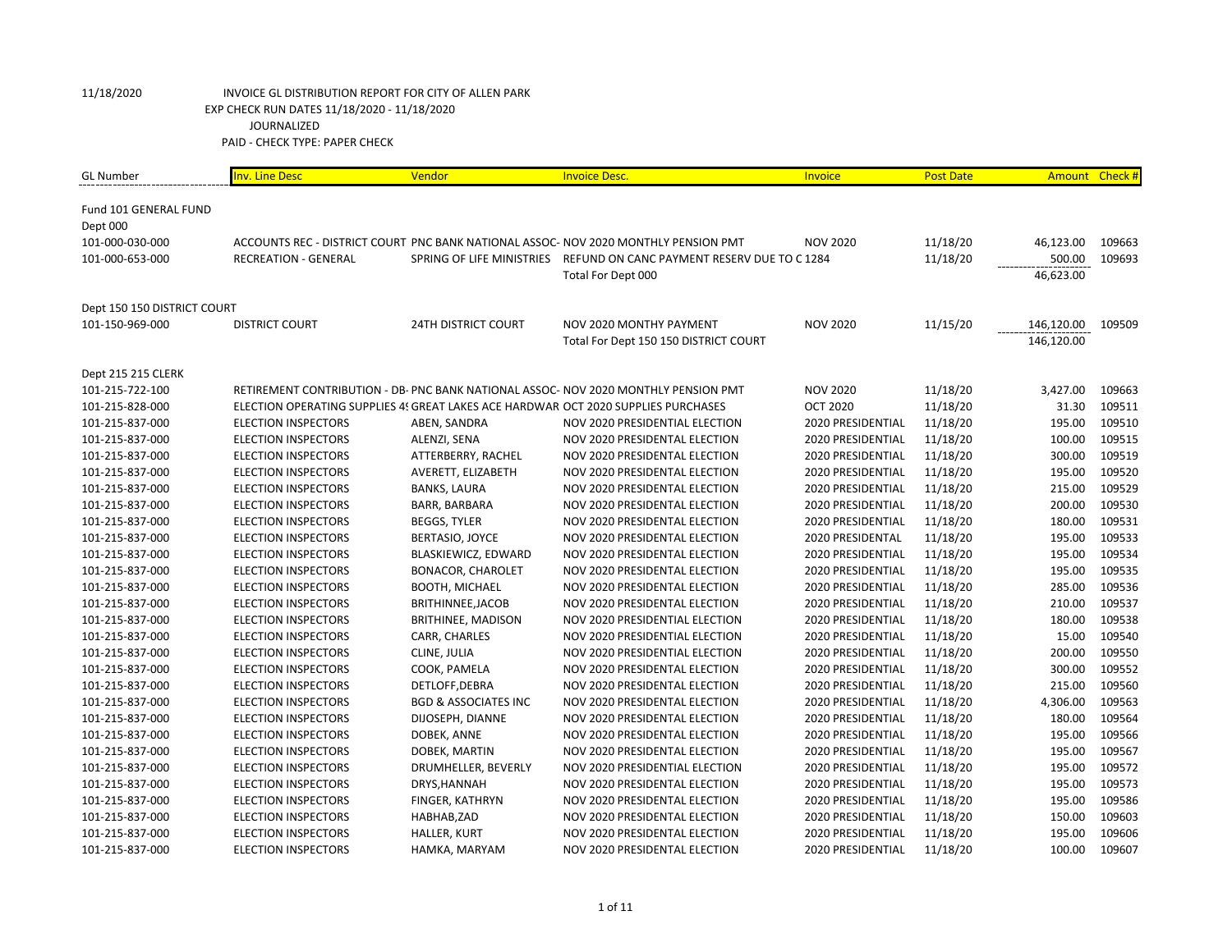| <b>GL Number</b>            | <b>Inv. Line Desc</b>                                                              | Vendor                          | <b>Invoice Desc.</b>                                                                | Invoice           | <b>Post Date</b> |            | Amount Check # |
|-----------------------------|------------------------------------------------------------------------------------|---------------------------------|-------------------------------------------------------------------------------------|-------------------|------------------|------------|----------------|
| Fund 101 GENERAL FUND       |                                                                                    |                                 |                                                                                     |                   |                  |            |                |
| Dept 000                    |                                                                                    |                                 |                                                                                     |                   |                  |            |                |
| 101-000-030-000             |                                                                                    |                                 | ACCOUNTS REC - DISTRICT COURT PNC BANK NATIONAL ASSOC- NOV 2020 MONTHLY PENSION PMT | <b>NOV 2020</b>   | 11/18/20         | 46,123.00  | 109663         |
| 101-000-653-000             | <b>RECREATION - GENERAL</b>                                                        |                                 | SPRING OF LIFE MINISTRIES REFUND ON CANC PAYMENT RESERV DUE TO C 1284               |                   | 11/18/20         | 500.00     | 109693         |
|                             |                                                                                    |                                 | Total For Dept 000                                                                  |                   |                  | 46,623.00  |                |
| Dept 150 150 DISTRICT COURT |                                                                                    |                                 |                                                                                     |                   |                  |            |                |
| 101-150-969-000             | <b>DISTRICT COURT</b>                                                              | <b>24TH DISTRICT COURT</b>      | NOV 2020 MONTHY PAYMENT                                                             | <b>NOV 2020</b>   | 11/15/20         | 146,120.00 | 109509         |
|                             |                                                                                    |                                 | Total For Dept 150 150 DISTRICT COURT                                               |                   |                  | 146,120.00 |                |
| Dept 215 215 CLERK          |                                                                                    |                                 |                                                                                     |                   |                  |            |                |
| 101-215-722-100             |                                                                                    |                                 | RETIREMENT CONTRIBUTION - DB- PNC BANK NATIONAL ASSOC- NOV 2020 MONTHLY PENSION PMT | <b>NOV 2020</b>   | 11/18/20         | 3,427.00   | 109663         |
| 101-215-828-000             | ELECTION OPERATING SUPPLIES 45 GREAT LAKES ACE HARDWAR OCT 2020 SUPPLIES PURCHASES |                                 |                                                                                     | <b>OCT 2020</b>   | 11/18/20         | 31.30      | 109511         |
| 101-215-837-000             | <b>ELECTION INSPECTORS</b>                                                         | ABEN, SANDRA                    | NOV 2020 PRESIDENTIAL ELECTION                                                      | 2020 PRESIDENTIAL | 11/18/20         | 195.00     | 109510         |
| 101-215-837-000             | <b>ELECTION INSPECTORS</b>                                                         | ALENZI, SENA                    | NOV 2020 PRESIDENTAL ELECTION                                                       | 2020 PRESIDENTIAL | 11/18/20         | 100.00     | 109515         |
| 101-215-837-000             | <b>ELECTION INSPECTORS</b>                                                         | ATTERBERRY, RACHEL              | NOV 2020 PRESIDENTAL ELECTION                                                       | 2020 PRESIDENTIAL | 11/18/20         | 300.00     | 109519         |
| 101-215-837-000             | <b>ELECTION INSPECTORS</b>                                                         | AVERETT, ELIZABETH              | NOV 2020 PRESIDENTAL ELECTION                                                       | 2020 PRESIDENTIAL | 11/18/20         | 195.00     | 109520         |
| 101-215-837-000             | <b>ELECTION INSPECTORS</b>                                                         | <b>BANKS, LAURA</b>             | NOV 2020 PRESIDENTAL ELECTION                                                       | 2020 PRESIDENTIAL | 11/18/20         | 215.00     | 109529         |
| 101-215-837-000             | <b>ELECTION INSPECTORS</b>                                                         | BARR, BARBARA                   | NOV 2020 PRESIDENTAL ELECTION                                                       | 2020 PRESIDENTIAL | 11/18/20         | 200.00     | 109530         |
| 101-215-837-000             | <b>ELECTION INSPECTORS</b>                                                         | <b>BEGGS, TYLER</b>             | NOV 2020 PRESIDENTAL ELECTION                                                       | 2020 PRESIDENTIAL | 11/18/20         | 180.00     | 109531         |
| 101-215-837-000             | <b>ELECTION INSPECTORS</b>                                                         | BERTASIO, JOYCE                 | NOV 2020 PRESIDENTAL ELECTION                                                       | 2020 PRESIDENTAL  | 11/18/20         | 195.00     | 109533         |
| 101-215-837-000             | <b>ELECTION INSPECTORS</b>                                                         | BLASKIEWICZ, EDWARD             | NOV 2020 PRESIDENTAL ELECTION                                                       | 2020 PRESIDENTIAL | 11/18/20         | 195.00     | 109534         |
| 101-215-837-000             | <b>ELECTION INSPECTORS</b>                                                         | <b>BONACOR, CHAROLET</b>        | NOV 2020 PRESIDENTAL ELECTION                                                       | 2020 PRESIDENTIAL | 11/18/20         | 195.00     | 109535         |
| 101-215-837-000             | <b>ELECTION INSPECTORS</b>                                                         | <b>BOOTH, MICHAEL</b>           | NOV 2020 PRESIDENTAL ELECTION                                                       | 2020 PRESIDENTIAL | 11/18/20         | 285.00     | 109536         |
| 101-215-837-000             | <b>ELECTION INSPECTORS</b>                                                         | BRITHINNEE, JACOB               | NOV 2020 PRESIDENTAL ELECTION                                                       | 2020 PRESIDENTIAL | 11/18/20         | 210.00     | 109537         |
| 101-215-837-000             | <b>ELECTION INSPECTORS</b>                                                         | BRITHINEE, MADISON              | NOV 2020 PRESIDENTIAL ELECTION                                                      | 2020 PRESIDENTIAL | 11/18/20         | 180.00     | 109538         |
| 101-215-837-000             | <b>ELECTION INSPECTORS</b>                                                         | CARR, CHARLES                   | NOV 2020 PRESIDENTIAL ELECTION                                                      | 2020 PRESIDENTIAL | 11/18/20         | 15.00      | 109540         |
| 101-215-837-000             | <b>ELECTION INSPECTORS</b>                                                         | CLINE, JULIA                    | NOV 2020 PRESIDENTIAL ELECTION                                                      | 2020 PRESIDENTIAL | 11/18/20         | 200.00     | 109550         |
| 101-215-837-000             | <b>ELECTION INSPECTORS</b>                                                         | COOK, PAMELA                    | NOV 2020 PRESIDENTAL ELECTION                                                       | 2020 PRESIDENTIAL | 11/18/20         | 300.00     | 109552         |
| 101-215-837-000             | <b>ELECTION INSPECTORS</b>                                                         | DETLOFF, DEBRA                  | NOV 2020 PRESIDENTAL ELECTION                                                       | 2020 PRESIDENTIAL | 11/18/20         | 215.00     | 109560         |
| 101-215-837-000             | <b>ELECTION INSPECTORS</b>                                                         | <b>BGD &amp; ASSOCIATES INC</b> | NOV 2020 PRESIDENTAL ELECTION                                                       | 2020 PRESIDENTIAL | 11/18/20         | 4,306.00   | 109563         |
| 101-215-837-000             | <b>ELECTION INSPECTORS</b>                                                         | DIJOSEPH, DIANNE                | NOV 2020 PRESIDENTAL ELECTION                                                       | 2020 PRESIDENTIAL | 11/18/20         | 180.00     | 109564         |
| 101-215-837-000             | <b>ELECTION INSPECTORS</b>                                                         | DOBEK, ANNE                     | NOV 2020 PRESIDENTAL ELECTION                                                       | 2020 PRESIDENTIAL | 11/18/20         | 195.00     | 109566         |
| 101-215-837-000             | <b>ELECTION INSPECTORS</b>                                                         | DOBEK, MARTIN                   | NOV 2020 PRESIDENTAL ELECTION                                                       | 2020 PRESIDENTIAL | 11/18/20         | 195.00     | 109567         |
| 101-215-837-000             | <b>ELECTION INSPECTORS</b>                                                         | DRUMHELLER, BEVERLY             | NOV 2020 PRESIDENTIAL ELECTION                                                      | 2020 PRESIDENTIAL | 11/18/20         | 195.00     | 109572         |
| 101-215-837-000             | <b>ELECTION INSPECTORS</b>                                                         | DRYS, HANNAH                    | NOV 2020 PRESIDENTAL ELECTION                                                       | 2020 PRESIDENTIAL | 11/18/20         | 195.00     | 109573         |
| 101-215-837-000             | <b>ELECTION INSPECTORS</b>                                                         | FINGER, KATHRYN                 | NOV 2020 PRESIDENTAL ELECTION                                                       | 2020 PRESIDENTIAL | 11/18/20         | 195.00     | 109586         |
| 101-215-837-000             | <b>ELECTION INSPECTORS</b>                                                         | HABHAB, ZAD                     | NOV 2020 PRESIDENTAL ELECTION                                                       | 2020 PRESIDENTIAL | 11/18/20         | 150.00     | 109603         |
| 101-215-837-000             | <b>ELECTION INSPECTORS</b>                                                         | HALLER, KURT                    | NOV 2020 PRESIDENTAL ELECTION                                                       | 2020 PRESIDENTIAL | 11/18/20         | 195.00     | 109606         |
| 101-215-837-000             | <b>ELECTION INSPECTORS</b>                                                         | HAMKA, MARYAM                   | NOV 2020 PRESIDENTAL ELECTION                                                       | 2020 PRESIDENTIAL | 11/18/20         | 100.00     | 109607         |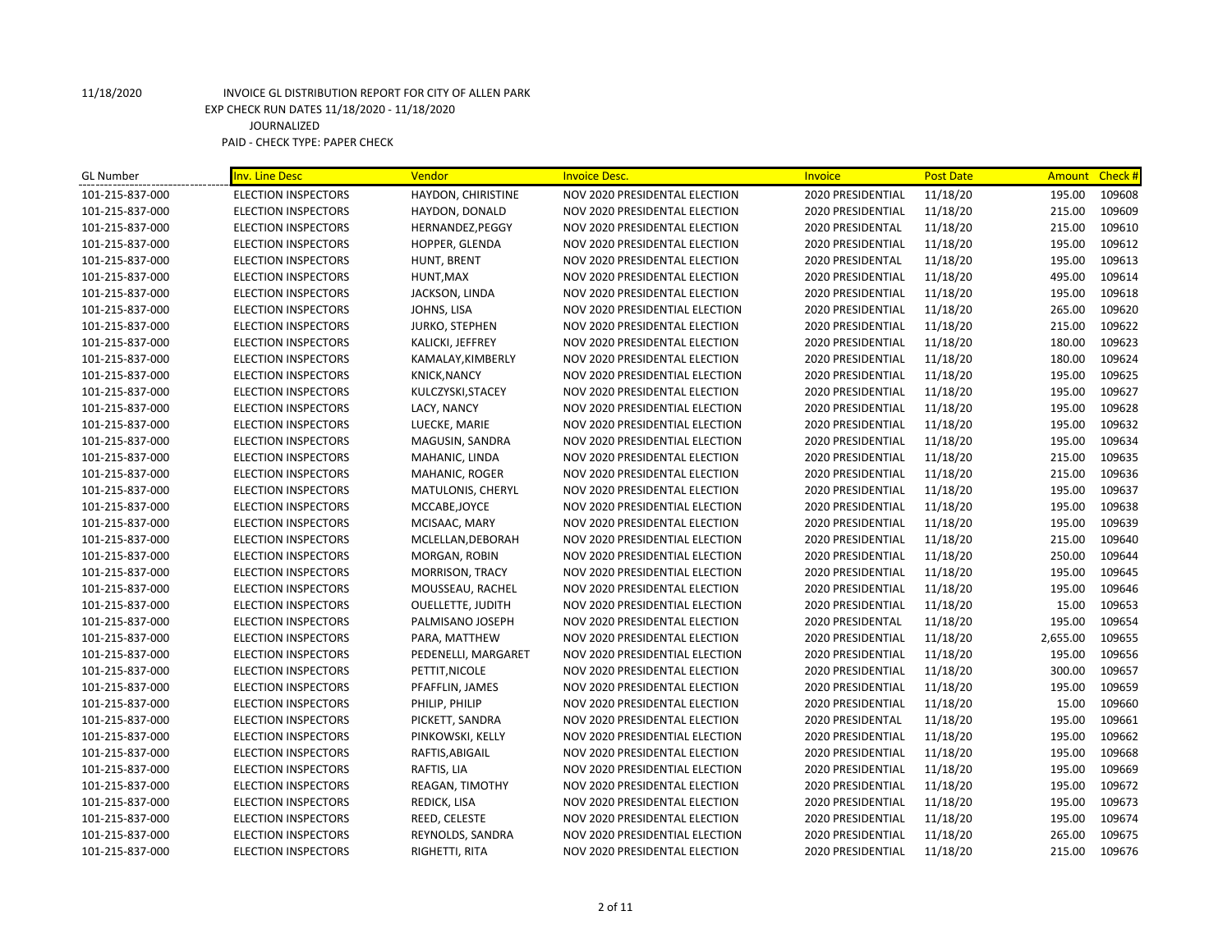| <b>GL Number</b> | <b>Inv. Line Desc</b>      | Vendor                   | <b>Invoice Desc.</b>           | Invoice           | <b>Post Date</b> | Amount   | Check # |
|------------------|----------------------------|--------------------------|--------------------------------|-------------------|------------------|----------|---------|
| 101-215-837-000  | <b>ELECTION INSPECTORS</b> | HAYDON, CHIRISTINE       | NOV 2020 PRESIDENTAL ELECTION  | 2020 PRESIDENTIAL | 11/18/20         | 195.00   | 109608  |
| 101-215-837-000  | <b>ELECTION INSPECTORS</b> | HAYDON, DONALD           | NOV 2020 PRESIDENTAL ELECTION  | 2020 PRESIDENTIAL | 11/18/20         | 215.00   | 109609  |
| 101-215-837-000  | <b>ELECTION INSPECTORS</b> | HERNANDEZ, PEGGY         | NOV 2020 PRESIDENTAL ELECTION  | 2020 PRESIDENTAL  | 11/18/20         | 215.00   | 109610  |
| 101-215-837-000  | <b>ELECTION INSPECTORS</b> | HOPPER, GLENDA           | NOV 2020 PRESIDENTAL ELECTION  | 2020 PRESIDENTIAL | 11/18/20         | 195.00   | 109612  |
| 101-215-837-000  | ELECTION INSPECTORS        | HUNT, BRENT              | NOV 2020 PRESIDENTAL ELECTION  | 2020 PRESIDENTAL  | 11/18/20         | 195.00   | 109613  |
| 101-215-837-000  | <b>ELECTION INSPECTORS</b> | HUNT, MAX                | NOV 2020 PRESIDENTAL ELECTION  | 2020 PRESIDENTIAL | 11/18/20         | 495.00   | 109614  |
| 101-215-837-000  | <b>ELECTION INSPECTORS</b> | JACKSON, LINDA           | NOV 2020 PRESIDENTAL ELECTION  | 2020 PRESIDENTIAL | 11/18/20         | 195.00   | 109618  |
| 101-215-837-000  | <b>ELECTION INSPECTORS</b> | JOHNS, LISA              | NOV 2020 PRESIDENTIAL ELECTION | 2020 PRESIDENTIAL | 11/18/20         | 265.00   | 109620  |
| 101-215-837-000  | <b>ELECTION INSPECTORS</b> | JURKO, STEPHEN           | NOV 2020 PRESIDENTAL ELECTION  | 2020 PRESIDENTIAL | 11/18/20         | 215.00   | 109622  |
| 101-215-837-000  | <b>ELECTION INSPECTORS</b> | KALICKI, JEFFREY         | NOV 2020 PRESIDENTAL ELECTION  | 2020 PRESIDENTIAL | 11/18/20         | 180.00   | 109623  |
| 101-215-837-000  | <b>ELECTION INSPECTORS</b> | KAMALAY, KIMBERLY        | NOV 2020 PRESIDENTAL ELECTION  | 2020 PRESIDENTIAL | 11/18/20         | 180.00   | 109624  |
| 101-215-837-000  | <b>ELECTION INSPECTORS</b> | <b>KNICK, NANCY</b>      | NOV 2020 PRESIDENTIAL ELECTION | 2020 PRESIDENTIAL | 11/18/20         | 195.00   | 109625  |
| 101-215-837-000  | ELECTION INSPECTORS        | KULCZYSKI, STACEY        | NOV 2020 PRESIDENTAL ELECTION  | 2020 PRESIDENTIAL | 11/18/20         | 195.00   | 109627  |
| 101-215-837-000  | <b>ELECTION INSPECTORS</b> | LACY, NANCY              | NOV 2020 PRESIDENTIAL ELECTION | 2020 PRESIDENTIAL | 11/18/20         | 195.00   | 109628  |
| 101-215-837-000  | <b>ELECTION INSPECTORS</b> | LUECKE, MARIE            | NOV 2020 PRESIDENTIAL ELECTION | 2020 PRESIDENTIAL | 11/18/20         | 195.00   | 109632  |
| 101-215-837-000  | <b>ELECTION INSPECTORS</b> | MAGUSIN, SANDRA          | NOV 2020 PRESIDENTIAL ELECTION | 2020 PRESIDENTIAL | 11/18/20         | 195.00   | 109634  |
| 101-215-837-000  | ELECTION INSPECTORS        | MAHANIC, LINDA           | NOV 2020 PRESIDENTAL ELECTION  | 2020 PRESIDENTIAL | 11/18/20         | 215.00   | 109635  |
| 101-215-837-000  | <b>ELECTION INSPECTORS</b> | MAHANIC, ROGER           | NOV 2020 PRESIDENTAL ELECTION  | 2020 PRESIDENTIAL | 11/18/20         | 215.00   | 109636  |
| 101-215-837-000  | <b>ELECTION INSPECTORS</b> | MATULONIS, CHERYL        | NOV 2020 PRESIDENTAL ELECTION  | 2020 PRESIDENTIAL | 11/18/20         | 195.00   | 109637  |
| 101-215-837-000  | ELECTION INSPECTORS        | MCCABE, JOYCE            | NOV 2020 PRESIDENTIAL ELECTION | 2020 PRESIDENTIAL | 11/18/20         | 195.00   | 109638  |
| 101-215-837-000  | <b>ELECTION INSPECTORS</b> | MCISAAC, MARY            | NOV 2020 PRESIDENTAL ELECTION  | 2020 PRESIDENTIAL | 11/18/20         | 195.00   | 109639  |
| 101-215-837-000  | <b>ELECTION INSPECTORS</b> | MCLELLAN, DEBORAH        | NOV 2020 PRESIDENTIAL ELECTION | 2020 PRESIDENTIAL | 11/18/20         | 215.00   | 109640  |
| 101-215-837-000  | <b>ELECTION INSPECTORS</b> | MORGAN, ROBIN            | NOV 2020 PRESIDENTIAL ELECTION | 2020 PRESIDENTIAL | 11/18/20         | 250.00   | 109644  |
| 101-215-837-000  | <b>ELECTION INSPECTORS</b> | <b>MORRISON, TRACY</b>   | NOV 2020 PRESIDENTIAL ELECTION | 2020 PRESIDENTIAL | 11/18/20         | 195.00   | 109645  |
| 101-215-837-000  | <b>ELECTION INSPECTORS</b> | MOUSSEAU, RACHEL         | NOV 2020 PRESIDENTAL ELECTION  | 2020 PRESIDENTIAL | 11/18/20         | 195.00   | 109646  |
| 101-215-837-000  | <b>ELECTION INSPECTORS</b> | <b>OUELLETTE, JUDITH</b> | NOV 2020 PRESIDENTIAL ELECTION | 2020 PRESIDENTIAL | 11/18/20         | 15.00    | 109653  |
| 101-215-837-000  | <b>ELECTION INSPECTORS</b> | PALMISANO JOSEPH         | NOV 2020 PRESIDENTAL ELECTION  | 2020 PRESIDENTAL  | 11/18/20         | 195.00   | 109654  |
| 101-215-837-000  | <b>ELECTION INSPECTORS</b> | PARA, MATTHEW            | NOV 2020 PRESIDENTAL ELECTION  | 2020 PRESIDENTIAL | 11/18/20         | 2,655.00 | 109655  |
| 101-215-837-000  | <b>ELECTION INSPECTORS</b> | PEDENELLI, MARGARET      | NOV 2020 PRESIDENTIAL ELECTION | 2020 PRESIDENTIAL | 11/18/20         | 195.00   | 109656  |
| 101-215-837-000  | <b>ELECTION INSPECTORS</b> | PETTIT, NICOLE           | NOV 2020 PRESIDENTAL ELECTION  | 2020 PRESIDENTIAL | 11/18/20         | 300.00   | 109657  |
| 101-215-837-000  | <b>ELECTION INSPECTORS</b> | PFAFFLIN, JAMES          | NOV 2020 PRESIDENTAL ELECTION  | 2020 PRESIDENTIAL | 11/18/20         | 195.00   | 109659  |
| 101-215-837-000  | <b>ELECTION INSPECTORS</b> | PHILIP, PHILIP           | NOV 2020 PRESIDENTAL ELECTION  | 2020 PRESIDENTIAL | 11/18/20         | 15.00    | 109660  |
| 101-215-837-000  | <b>ELECTION INSPECTORS</b> | PICKETT, SANDRA          | NOV 2020 PRESIDENTAL ELECTION  | 2020 PRESIDENTAL  | 11/18/20         | 195.00   | 109661  |
| 101-215-837-000  | <b>ELECTION INSPECTORS</b> | PINKOWSKI, KELLY         | NOV 2020 PRESIDENTIAL ELECTION | 2020 PRESIDENTIAL | 11/18/20         | 195.00   | 109662  |
| 101-215-837-000  | <b>ELECTION INSPECTORS</b> | RAFTIS, ABIGAIL          | NOV 2020 PRESIDENTAL ELECTION  | 2020 PRESIDENTIAL | 11/18/20         | 195.00   | 109668  |
| 101-215-837-000  | <b>ELECTION INSPECTORS</b> | RAFTIS, LIA              | NOV 2020 PRESIDENTIAL ELECTION | 2020 PRESIDENTIAL | 11/18/20         | 195.00   | 109669  |
| 101-215-837-000  | <b>ELECTION INSPECTORS</b> | REAGAN, TIMOTHY          | NOV 2020 PRESIDENTAL ELECTION  | 2020 PRESIDENTIAL | 11/18/20         | 195.00   | 109672  |
| 101-215-837-000  | <b>ELECTION INSPECTORS</b> | REDICK, LISA             | NOV 2020 PRESIDENTAL ELECTION  | 2020 PRESIDENTIAL | 11/18/20         | 195.00   | 109673  |
| 101-215-837-000  | <b>ELECTION INSPECTORS</b> | REED, CELESTE            | NOV 2020 PRESIDENTAL ELECTION  | 2020 PRESIDENTIAL | 11/18/20         | 195.00   | 109674  |
| 101-215-837-000  | <b>ELECTION INSPECTORS</b> | REYNOLDS, SANDRA         | NOV 2020 PRESIDENTIAL ELECTION | 2020 PRESIDENTIAL | 11/18/20         | 265.00   | 109675  |
| 101-215-837-000  | <b>ELECTION INSPECTORS</b> | RIGHETTI, RITA           | NOV 2020 PRESIDENTAL ELECTION  | 2020 PRESIDENTIAL | 11/18/20         | 215.00   | 109676  |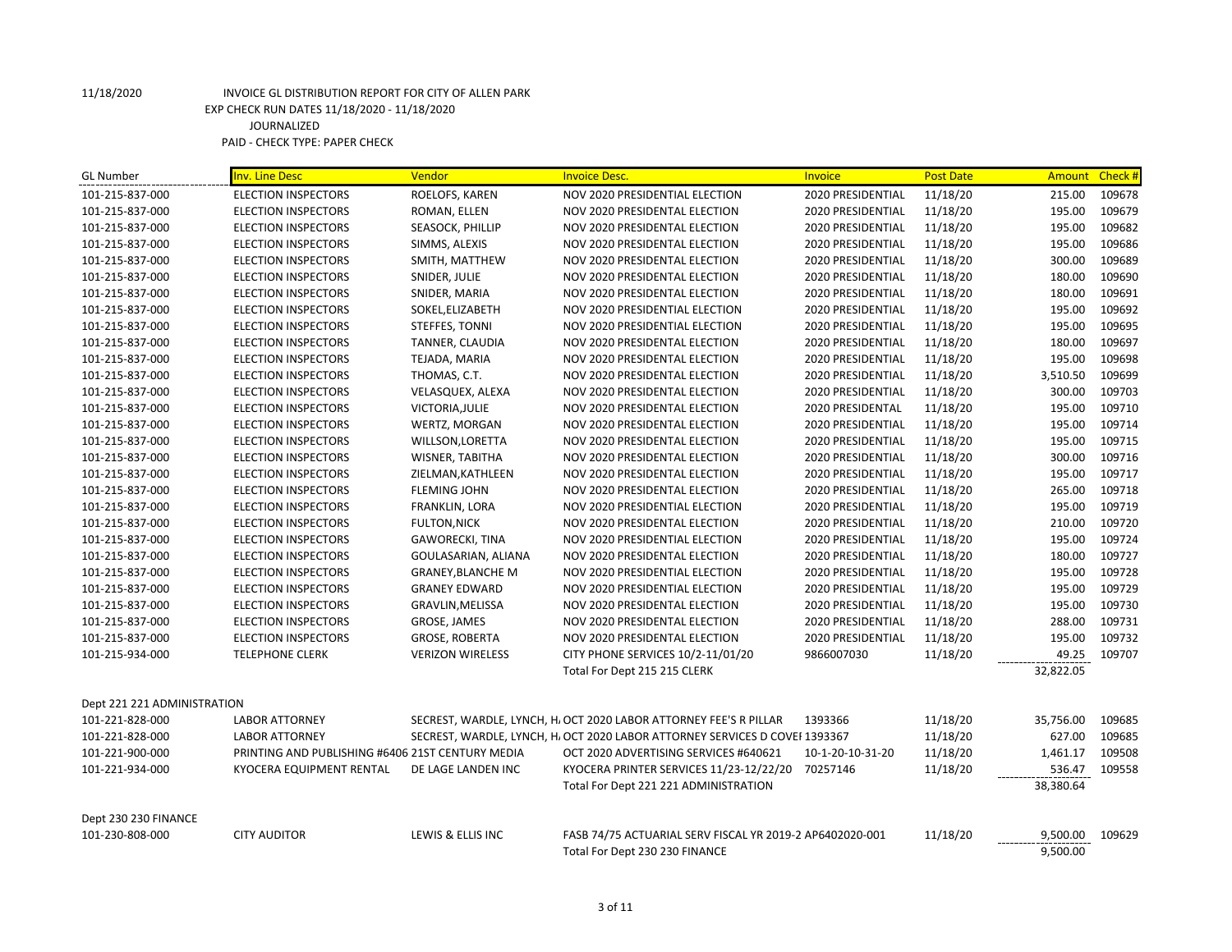| <b>GL Number</b>            | Inv. Line Desc                                   | Vendor                   | <b>Invoice Desc.</b>                                                        | <b>Invoice</b>    | <b>Post Date</b> |           | Amount Check # |
|-----------------------------|--------------------------------------------------|--------------------------|-----------------------------------------------------------------------------|-------------------|------------------|-----------|----------------|
| 101-215-837-000             | <b>ELECTION INSPECTORS</b>                       | ROELOFS, KAREN           | NOV 2020 PRESIDENTIAL ELECTION                                              | 2020 PRESIDENTIAL | 11/18/20         | 215.00    | 109678         |
| 101-215-837-000             | <b>ELECTION INSPECTORS</b>                       | ROMAN, ELLEN             | NOV 2020 PRESIDENTAL ELECTION                                               | 2020 PRESIDENTIAL | 11/18/20         | 195.00    | 109679         |
| 101-215-837-000             | <b>ELECTION INSPECTORS</b>                       | SEASOCK, PHILLIP         | NOV 2020 PRESIDENTAL ELECTION                                               | 2020 PRESIDENTIAL | 11/18/20         | 195.00    | 109682         |
| 101-215-837-000             | <b>ELECTION INSPECTORS</b>                       | SIMMS, ALEXIS            | NOV 2020 PRESIDENTAL ELECTION                                               | 2020 PRESIDENTIAL | 11/18/20         | 195.00    | 109686         |
| 101-215-837-000             | <b>ELECTION INSPECTORS</b>                       | SMITH, MATTHEW           | NOV 2020 PRESIDENTAL ELECTION                                               | 2020 PRESIDENTIAL | 11/18/20         | 300.00    | 109689         |
| 101-215-837-000             | <b>ELECTION INSPECTORS</b>                       | SNIDER, JULIE            | NOV 2020 PRESIDENTAL ELECTION                                               | 2020 PRESIDENTIAL | 11/18/20         | 180.00    | 109690         |
| 101-215-837-000             | <b>ELECTION INSPECTORS</b>                       | SNIDER, MARIA            | NOV 2020 PRESIDENTAL ELECTION                                               | 2020 PRESIDENTIAL | 11/18/20         | 180.00    | 109691         |
| 101-215-837-000             | <b>ELECTION INSPECTORS</b>                       | SOKEL, ELIZABETH         | NOV 2020 PRESIDENTIAL ELECTION                                              | 2020 PRESIDENTIAL | 11/18/20         | 195.00    | 109692         |
| 101-215-837-000             | <b>ELECTION INSPECTORS</b>                       | STEFFES, TONNI           | NOV 2020 PRESIDENTIAL ELECTION                                              | 2020 PRESIDENTIAL | 11/18/20         | 195.00    | 109695         |
| 101-215-837-000             | <b>ELECTION INSPECTORS</b>                       | TANNER, CLAUDIA          | NOV 2020 PRESIDENTAL ELECTION                                               | 2020 PRESIDENTIAL | 11/18/20         | 180.00    | 109697         |
| 101-215-837-000             | <b>ELECTION INSPECTORS</b>                       | TEJADA, MARIA            | NOV 2020 PRESIDENTAL ELECTION                                               | 2020 PRESIDENTIAL | 11/18/20         | 195.00    | 109698         |
| 101-215-837-000             | <b>ELECTION INSPECTORS</b>                       | THOMAS, C.T.             | NOV 2020 PRESIDENTAL ELECTION                                               | 2020 PRESIDENTIAL | 11/18/20         | 3,510.50  | 109699         |
| 101-215-837-000             | <b>ELECTION INSPECTORS</b>                       | VELASQUEX, ALEXA         | NOV 2020 PRESIDENTAL ELECTION                                               | 2020 PRESIDENTIAL | 11/18/20         | 300.00    | 109703         |
| 101-215-837-000             | <b>ELECTION INSPECTORS</b>                       | VICTORIA, JULIE          | NOV 2020 PRESIDENTAL ELECTION                                               | 2020 PRESIDENTAL  | 11/18/20         | 195.00    | 109710         |
| 101-215-837-000             | <b>ELECTION INSPECTORS</b>                       | WERTZ, MORGAN            | NOV 2020 PRESIDENTAL ELECTION                                               | 2020 PRESIDENTIAL | 11/18/20         | 195.00    | 109714         |
| 101-215-837-000             | <b>ELECTION INSPECTORS</b>                       | WILLSON, LORETTA         | NOV 2020 PRESIDENTAL ELECTION                                               | 2020 PRESIDENTIAL | 11/18/20         | 195.00    | 109715         |
| 101-215-837-000             | <b>ELECTION INSPECTORS</b>                       | WISNER, TABITHA          | NOV 2020 PRESIDENTAL ELECTION                                               | 2020 PRESIDENTIAL | 11/18/20         | 300.00    | 109716         |
| 101-215-837-000             | <b>ELECTION INSPECTORS</b>                       | ZIELMAN, KATHLEEN        | NOV 2020 PRESIDENTAL ELECTION                                               | 2020 PRESIDENTIAL | 11/18/20         | 195.00    | 109717         |
| 101-215-837-000             | <b>ELECTION INSPECTORS</b>                       | <b>FLEMING JOHN</b>      | NOV 2020 PRESIDENTAL ELECTION                                               | 2020 PRESIDENTIAL | 11/18/20         | 265.00    | 109718         |
| 101-215-837-000             | <b>ELECTION INSPECTORS</b>                       | FRANKLIN, LORA           | NOV 2020 PRESIDENTIAL ELECTION                                              | 2020 PRESIDENTIAL | 11/18/20         | 195.00    | 109719         |
| 101-215-837-000             | <b>ELECTION INSPECTORS</b>                       | <b>FULTON, NICK</b>      | NOV 2020 PRESIDENTAL ELECTION                                               | 2020 PRESIDENTIAL | 11/18/20         | 210.00    | 109720         |
| 101-215-837-000             | <b>ELECTION INSPECTORS</b>                       | <b>GAWORECKI, TINA</b>   | NOV 2020 PRESIDENTIAL ELECTION                                              | 2020 PRESIDENTIAL | 11/18/20         | 195.00    | 109724         |
| 101-215-837-000             | <b>ELECTION INSPECTORS</b>                       | GOULASARIAN, ALIANA      | NOV 2020 PRESIDENTAL ELECTION                                               | 2020 PRESIDENTIAL | 11/18/20         | 180.00    | 109727         |
| 101-215-837-000             | <b>ELECTION INSPECTORS</b>                       | <b>GRANEY, BLANCHE M</b> | NOV 2020 PRESIDENTIAL ELECTION                                              | 2020 PRESIDENTIAL | 11/18/20         | 195.00    | 109728         |
| 101-215-837-000             | <b>ELECTION INSPECTORS</b>                       | <b>GRANEY EDWARD</b>     | NOV 2020 PRESIDENTIAL ELECTION                                              | 2020 PRESIDENTIAL | 11/18/20         | 195.00    | 109729         |
| 101-215-837-000             | <b>ELECTION INSPECTORS</b>                       | GRAVLIN, MELISSA         | NOV 2020 PRESIDENTAL ELECTION                                               | 2020 PRESIDENTIAL | 11/18/20         | 195.00    | 109730         |
| 101-215-837-000             | <b>ELECTION INSPECTORS</b>                       | GROSE, JAMES             | NOV 2020 PRESIDENTAL ELECTION                                               | 2020 PRESIDENTIAL | 11/18/20         | 288.00    | 109731         |
| 101-215-837-000             | <b>ELECTION INSPECTORS</b>                       | <b>GROSE, ROBERTA</b>    | NOV 2020 PRESIDENTAL ELECTION                                               | 2020 PRESIDENTIAL | 11/18/20         | 195.00    | 109732         |
| 101-215-934-000             | <b>TELEPHONE CLERK</b>                           | <b>VERIZON WIRELESS</b>  | CITY PHONE SERVICES 10/2-11/01/20                                           | 9866007030        | 11/18/20         | 49.25     | 109707         |
|                             |                                                  |                          | Total For Dept 215 215 CLERK                                                |                   |                  | 32,822.05 |                |
| Dept 221 221 ADMINISTRATION |                                                  |                          |                                                                             |                   |                  |           |                |
| 101-221-828-000             | <b>LABOR ATTORNEY</b>                            |                          | SECREST, WARDLE, LYNCH, H. OCT 2020 LABOR ATTORNEY FEE'S R PILLAR           | 1393366           | 11/18/20         | 35,756.00 | 109685         |
| 101-221-828-000             | <b>LABOR ATTORNEY</b>                            |                          | SECREST, WARDLE, LYNCH, H. OCT 2020 LABOR ATTORNEY SERVICES D COVEF 1393367 |                   | 11/18/20         | 627.00    | 109685         |
| 101-221-900-000             | PRINTING AND PUBLISHING #6406 21ST CENTURY MEDIA |                          | OCT 2020 ADVERTISING SERVICES #640621                                       | 10-1-20-10-31-20  | 11/18/20         | 1,461.17  | 109508         |
| 101-221-934-000             | KYOCERA EQUIPMENT RENTAL                         | DE LAGE LANDEN INC       | KYOCERA PRINTER SERVICES 11/23-12/22/20                                     | 70257146          | 11/18/20         | 536.47    | 109558         |
|                             |                                                  |                          | Total For Dept 221 221 ADMINISTRATION                                       |                   |                  | 38,380.64 |                |
| Dept 230 230 FINANCE        |                                                  |                          |                                                                             |                   |                  |           |                |
| 101-230-808-000             | <b>CITY AUDITOR</b>                              | LEWIS & ELLIS INC        | FASB 74/75 ACTUARIAL SERV FISCAL YR 2019-2 AP6402020-001                    |                   | 11/18/20         | 9,500.00  | 109629         |
|                             |                                                  |                          | Total For Dept 230 230 FINANCE                                              |                   |                  | 9,500.00  |                |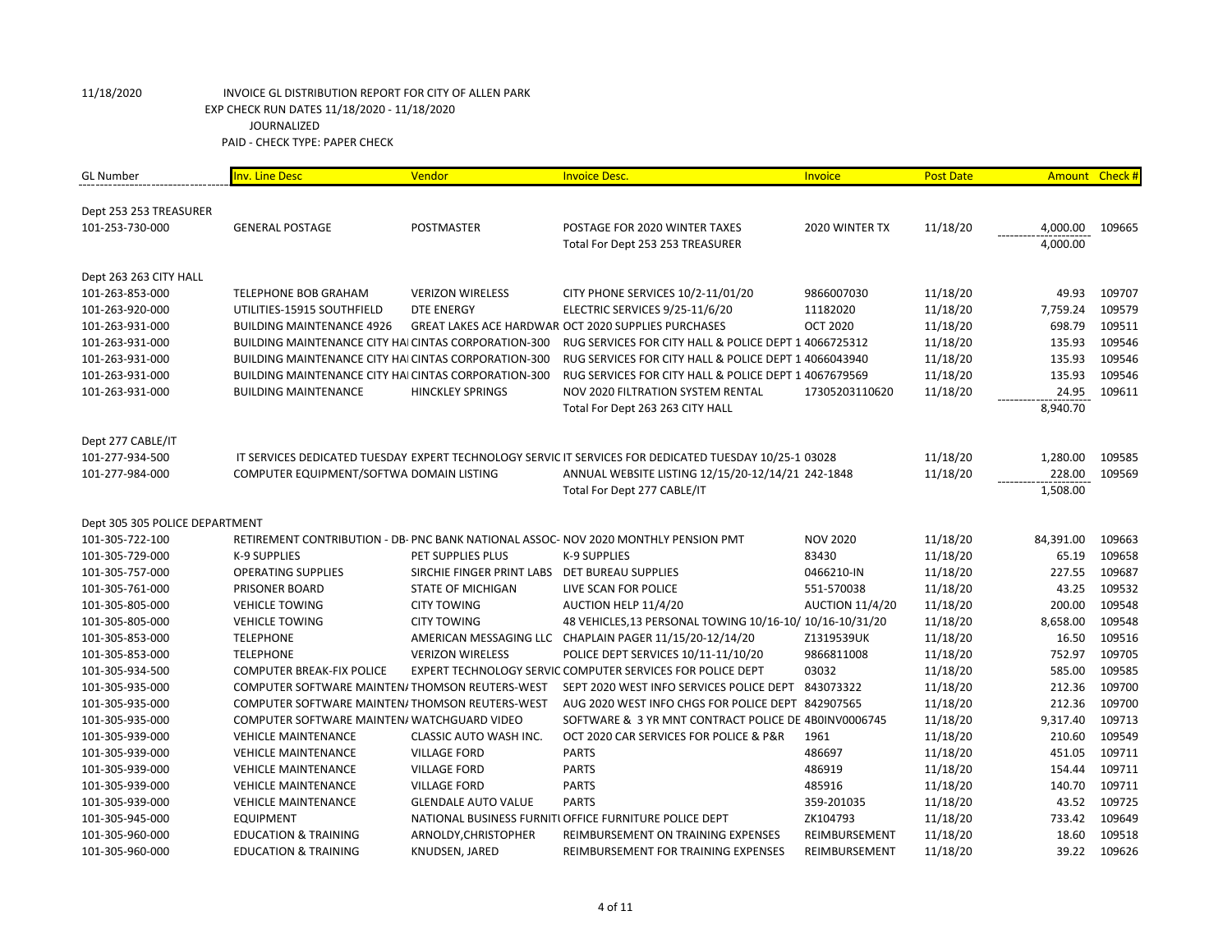| <b>GL Number</b>               | <b>Inv. Line Desc</b>                                      | Vendor                                        | <b>Invoice Desc.</b>                                                                                   | Invoice                | <b>Post Date</b> | Amount Check # |        |
|--------------------------------|------------------------------------------------------------|-----------------------------------------------|--------------------------------------------------------------------------------------------------------|------------------------|------------------|----------------|--------|
|                                |                                                            |                                               |                                                                                                        |                        |                  |                |        |
| Dept 253 253 TREASURER         |                                                            |                                               |                                                                                                        |                        |                  |                |        |
| 101-253-730-000                | <b>GENERAL POSTAGE</b>                                     | <b>POSTMASTER</b>                             | POSTAGE FOR 2020 WINTER TAXES                                                                          | 2020 WINTER TX         | 11/18/20         | 4,000.00       | 109665 |
|                                |                                                            |                                               | Total For Dept 253 253 TREASURER                                                                       |                        |                  | 4,000.00       |        |
| Dept 263 263 CITY HALL         |                                                            |                                               |                                                                                                        |                        |                  |                |        |
| 101-263-853-000                | TELEPHONE BOB GRAHAM                                       | <b>VERIZON WIRELESS</b>                       | CITY PHONE SERVICES 10/2-11/01/20                                                                      | 9866007030             | 11/18/20         | 49.93          | 109707 |
| 101-263-920-000                | UTILITIES-15915 SOUTHFIELD                                 | <b>DTE ENERGY</b>                             | ELECTRIC SERVICES 9/25-11/6/20                                                                         | 11182020               | 11/18/20         | 7,759.24       | 109579 |
| 101-263-931-000                | <b>BUILDING MAINTENANCE 4926</b>                           |                                               | GREAT LAKES ACE HARDWAR OCT 2020 SUPPLIES PURCHASES                                                    | <b>OCT 2020</b>        | 11/18/20         | 698.79         | 109511 |
| 101-263-931-000                | <b>BUILDING MAINTENANCE CITY HAICINTAS CORPORATION-300</b> |                                               | RUG SERVICES FOR CITY HALL & POLICE DEPT 1 4066725312                                                  |                        | 11/18/20         | 135.93         | 109546 |
| 101-263-931-000                | <b>BUILDING MAINTENANCE CITY HAICINTAS CORPORATION-300</b> |                                               | RUG SERVICES FOR CITY HALL & POLICE DEPT 1 4066043940                                                  |                        | 11/18/20         | 135.93         | 109546 |
| 101-263-931-000                | <b>BUILDING MAINTENANCE CITY HAICINTAS CORPORATION-300</b> |                                               | RUG SERVICES FOR CITY HALL & POLICE DEPT 1 4067679569                                                  |                        | 11/18/20         | 135.93         | 109546 |
| 101-263-931-000                | <b>BUILDING MAINTENANCE</b>                                | <b>HINCKLEY SPRINGS</b>                       | NOV 2020 FILTRATION SYSTEM RENTAL                                                                      | 17305203110620         | 11/18/20         | 24.95          | 109611 |
|                                |                                                            |                                               | Total For Dept 263 263 CITY HALL                                                                       |                        |                  | 8,940.70       |        |
| Dept 277 CABLE/IT              |                                                            |                                               |                                                                                                        |                        |                  |                |        |
| 101-277-934-500                |                                                            |                                               | IT SERVICES DEDICATED TUESDAY EXPERT TECHNOLOGY SERVIC IT SERVICES FOR DEDICATED TUESDAY 10/25-1 03028 |                        | 11/18/20         | 1,280.00       | 109585 |
| 101-277-984-000                | COMPUTER EQUIPMENT/SOFTWA DOMAIN LISTING                   |                                               | ANNUAL WEBSITE LISTING 12/15/20-12/14/21 242-1848                                                      |                        | 11/18/20         | 228.00         | 109569 |
|                                |                                                            |                                               | Total For Dept 277 CABLE/IT                                                                            |                        |                  | 1,508.00       |        |
|                                |                                                            |                                               |                                                                                                        |                        |                  |                |        |
| Dept 305 305 POLICE DEPARTMENT |                                                            |                                               |                                                                                                        |                        |                  |                |        |
| 101-305-722-100                |                                                            |                                               | RETIREMENT CONTRIBUTION - DB- PNC BANK NATIONAL ASSOC- NOV 2020 MONTHLY PENSION PMT                    | <b>NOV 2020</b>        | 11/18/20         | 84,391.00      | 109663 |
| 101-305-729-000                | K-9 SUPPLIES                                               | PET SUPPLIES PLUS                             | <b>K-9 SUPPLIES</b>                                                                                    | 83430                  | 11/18/20         | 65.19          | 109658 |
| 101-305-757-000                | <b>OPERATING SUPPLIES</b>                                  | SIRCHIE FINGER PRINT LABS DET BUREAU SUPPLIES |                                                                                                        | 0466210-IN             | 11/18/20         | 227.55         | 109687 |
| 101-305-761-000                | PRISONER BOARD                                             | <b>STATE OF MICHIGAN</b>                      | LIVE SCAN FOR POLICE                                                                                   | 551-570038             | 11/18/20         | 43.25          | 109532 |
| 101-305-805-000                | <b>VEHICLE TOWING</b>                                      | <b>CITY TOWING</b>                            | AUCTION HELP 11/4/20                                                                                   | <b>AUCTION 11/4/20</b> | 11/18/20         | 200.00         | 109548 |
| 101-305-805-000                | <b>VEHICLE TOWING</b>                                      | <b>CITY TOWING</b>                            | 48 VEHICLES, 13 PERSONAL TOWING 10/16-10/ 10/16-10/31/20                                               |                        | 11/18/20         | 8,658.00       | 109548 |
| 101-305-853-000                | <b>TELEPHONE</b>                                           |                                               | AMERICAN MESSAGING LLC CHAPLAIN PAGER 11/15/20-12/14/20                                                | Z1319539UK             | 11/18/20         | 16.50          | 109516 |
| 101-305-853-000                | <b>TELEPHONE</b>                                           | <b>VERIZON WIRELESS</b>                       | POLICE DEPT SERVICES 10/11-11/10/20                                                                    | 9866811008             | 11/18/20         | 752.97         | 109705 |
| 101-305-934-500                | <b>COMPUTER BREAK-FIX POLICE</b>                           |                                               | EXPERT TECHNOLOGY SERVIC COMPUTER SERVICES FOR POLICE DEPT                                             | 03032                  | 11/18/20         | 585.00         | 109585 |
| 101-305-935-000                | COMPUTER SOFTWARE MAINTEN/THOMSON REUTERS-WEST             |                                               | SEPT 2020 WEST INFO SERVICES POLICE DEPT                                                               | 843073322              | 11/18/20         | 212.36         | 109700 |
| 101-305-935-000                | COMPUTER SOFTWARE MAINTEN/THOMSON REUTERS-WEST             |                                               | AUG 2020 WEST INFO CHGS FOR POLICE DEPT 842907565                                                      |                        | 11/18/20         | 212.36         | 109700 |
| 101-305-935-000                | COMPUTER SOFTWARE MAINTEN/WATCHGUARD VIDEO                 |                                               | SOFTWARE & 3 YR MNT CONTRACT POLICE DE 4B0INV0006745                                                   |                        | 11/18/20         | 9,317.40       | 109713 |
| 101-305-939-000                | <b>VEHICLE MAINTENANCE</b>                                 | CLASSIC AUTO WASH INC.                        | OCT 2020 CAR SERVICES FOR POLICE & P&R                                                                 | 1961                   | 11/18/20         | 210.60         | 109549 |
| 101-305-939-000                | <b>VEHICLE MAINTENANCE</b>                                 | <b>VILLAGE FORD</b>                           | <b>PARTS</b>                                                                                           | 486697                 | 11/18/20         | 451.05         | 109711 |
| 101-305-939-000                | <b>VEHICLE MAINTENANCE</b>                                 | <b>VILLAGE FORD</b>                           | <b>PARTS</b>                                                                                           | 486919                 | 11/18/20         | 154.44         | 109711 |
| 101-305-939-000                | <b>VEHICLE MAINTENANCE</b>                                 | <b>VILLAGE FORD</b>                           | <b>PARTS</b>                                                                                           | 485916                 | 11/18/20         | 140.70         | 109711 |
| 101-305-939-000                | <b>VEHICLE MAINTENANCE</b>                                 | <b>GLENDALE AUTO VALUE</b>                    | <b>PARTS</b>                                                                                           | 359-201035             | 11/18/20         | 43.52          | 109725 |
| 101-305-945-000                | <b>EQUIPMENT</b>                                           |                                               | NATIONAL BUSINESS FURNITI OFFICE FURNITURE POLICE DEPT                                                 | ZK104793               | 11/18/20         | 733.42         | 109649 |
| 101-305-960-000                | <b>EDUCATION &amp; TRAINING</b>                            | ARNOLDY, CHRISTOPHER                          | REIMBURSEMENT ON TRAINING EXPENSES                                                                     | REIMBURSEMENT          | 11/18/20         | 18.60          | 109518 |
| 101-305-960-000                | <b>EDUCATION &amp; TRAINING</b>                            | KNUDSEN, JARED                                | REIMBURSEMENT FOR TRAINING EXPENSES                                                                    | REIMBURSEMENT          | 11/18/20         | 39.22          | 109626 |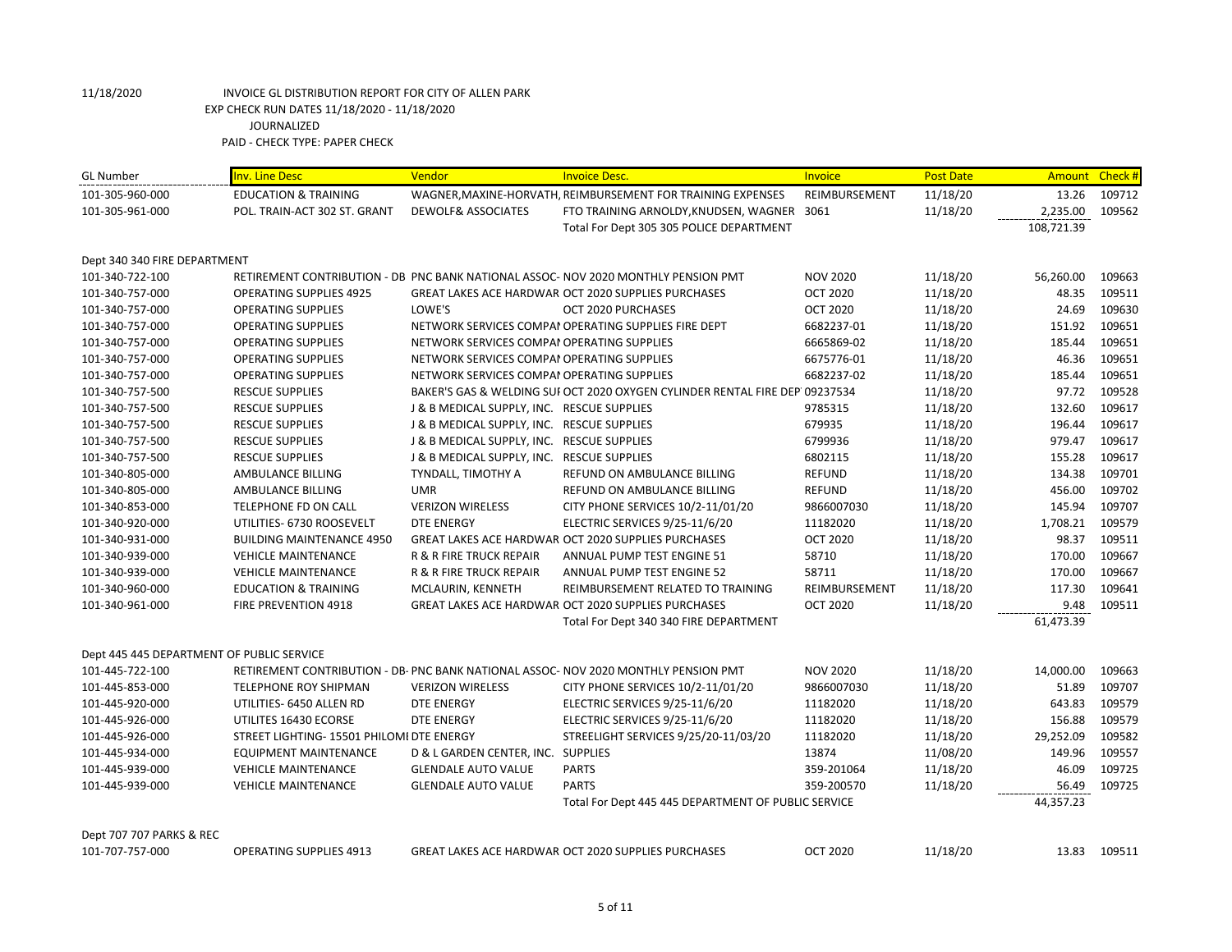| <b>GL Number</b>                                | <b>Inv. Line Desc</b>                     | Vendor                                     | <b>Invoice Desc.</b>                                                                | Invoice         | <b>Post Date</b> |            | Amount Check # |
|-------------------------------------------------|-------------------------------------------|--------------------------------------------|-------------------------------------------------------------------------------------|-----------------|------------------|------------|----------------|
| 101-305-960-000                                 | <b>EDUCATION &amp; TRAINING</b>           |                                            | WAGNER, MAXINE-HORVATH, REIMBURSEMENT FOR TRAINING EXPENSES                         | REIMBURSEMENT   | 11/18/20         | 13.26      | 109712         |
| 101-305-961-000                                 | POL. TRAIN-ACT 302 ST. GRANT              | <b>DEWOLF&amp; ASSOCIATES</b>              | FTO TRAINING ARNOLDY, KNUDSEN, WAGNER 3061                                          |                 | 11/18/20         | 2,235.00   | 109562         |
|                                                 |                                           |                                            | Total For Dept 305 305 POLICE DEPARTMENT                                            |                 |                  | 108,721.39 |                |
|                                                 |                                           |                                            |                                                                                     |                 |                  |            |                |
| Dept 340 340 FIRE DEPARTMENT<br>101-340-722-100 |                                           |                                            | RETIREMENT CONTRIBUTION - DB PNC BANK NATIONAL ASSOC- NOV 2020 MONTHLY PENSION PMT  | <b>NOV 2020</b> | 11/18/20         | 56,260.00  | 109663         |
| 101-340-757-000                                 | <b>OPERATING SUPPLIES 4925</b>            |                                            | <b>GREAT LAKES ACE HARDWAR OCT 2020 SUPPLIES PURCHASES</b>                          | <b>OCT 2020</b> | 11/18/20         | 48.35      | 109511         |
| 101-340-757-000                                 | <b>OPERATING SUPPLIES</b>                 | LOWE'S                                     | OCT 2020 PURCHASES                                                                  | <b>OCT 2020</b> | 11/18/20         | 24.69      | 109630         |
| 101-340-757-000                                 | <b>OPERATING SUPPLIES</b>                 |                                            | NETWORK SERVICES COMPAI OPERATING SUPPLIES FIRE DEPT                                | 6682237-01      | 11/18/20         | 151.92     | 109651         |
| 101-340-757-000                                 | <b>OPERATING SUPPLIES</b>                 | NETWORK SERVICES COMPAI OPERATING SUPPLIES |                                                                                     | 6665869-02      | 11/18/20         | 185.44     | 109651         |
|                                                 |                                           |                                            |                                                                                     |                 |                  | 46.36      |                |
| 101-340-757-000                                 | <b>OPERATING SUPPLIES</b>                 | NETWORK SERVICES COMPAI OPERATING SUPPLIES |                                                                                     | 6675776-01      | 11/18/20         |            | 109651         |
| 101-340-757-000                                 | <b>OPERATING SUPPLIES</b>                 | NETWORK SERVICES COMPAI OPERATING SUPPLIES |                                                                                     | 6682237-02      | 11/18/20         | 185.44     | 109651         |
| 101-340-757-500                                 | <b>RESCUE SUPPLIES</b>                    |                                            | BAKER'S GAS & WELDING SUI OCT 2020 OXYGEN CYLINDER RENTAL FIRE DEP 09237534         |                 | 11/18/20         | 97.72      | 109528         |
| 101-340-757-500                                 | <b>RESCUE SUPPLIES</b>                    | J & B MEDICAL SUPPLY, INC. RESCUE SUPPLIES |                                                                                     | 9785315         | 11/18/20         | 132.60     | 109617         |
| 101-340-757-500                                 | <b>RESCUE SUPPLIES</b>                    | J & B MEDICAL SUPPLY, INC. RESCUE SUPPLIES |                                                                                     | 679935          | 11/18/20         | 196.44     | 109617         |
| 101-340-757-500                                 | <b>RESCUE SUPPLIES</b>                    | J & B MEDICAL SUPPLY, INC. RESCUE SUPPLIES |                                                                                     | 6799936         | 11/18/20         | 979.47     | 109617         |
| 101-340-757-500                                 | <b>RESCUE SUPPLIES</b>                    | J & B MEDICAL SUPPLY, INC. RESCUE SUPPLIES |                                                                                     | 6802115         | 11/18/20         | 155.28     | 109617         |
| 101-340-805-000                                 | AMBULANCE BILLING                         | TYNDALL, TIMOTHY A                         | REFUND ON AMBULANCE BILLING                                                         | <b>REFUND</b>   | 11/18/20         | 134.38     | 109701         |
| 101-340-805-000                                 | AMBULANCE BILLING                         | <b>UMR</b>                                 | REFUND ON AMBULANCE BILLING                                                         | <b>REFUND</b>   | 11/18/20         | 456.00     | 109702         |
| 101-340-853-000                                 | TELEPHONE FD ON CALL                      | <b>VERIZON WIRELESS</b>                    | CITY PHONE SERVICES 10/2-11/01/20                                                   | 9866007030      | 11/18/20         | 145.94     | 109707         |
| 101-340-920-000                                 | UTILITIES- 6730 ROOSEVELT                 | <b>DTE ENERGY</b>                          | ELECTRIC SERVICES 9/25-11/6/20                                                      | 11182020        | 11/18/20         | 1,708.21   | 109579         |
| 101-340-931-000                                 | <b>BUILDING MAINTENANCE 4950</b>          |                                            | GREAT LAKES ACE HARDWAR OCT 2020 SUPPLIES PURCHASES                                 | <b>OCT 2020</b> | 11/18/20         | 98.37      | 109511         |
| 101-340-939-000                                 | <b>VEHICLE MAINTENANCE</b>                | <b>R &amp; R FIRE TRUCK REPAIR</b>         | ANNUAL PUMP TEST ENGINE 51                                                          | 58710           | 11/18/20         | 170.00     | 109667         |
| 101-340-939-000                                 | <b>VEHICLE MAINTENANCE</b>                | <b>R &amp; R FIRE TRUCK REPAIR</b>         | ANNUAL PUMP TEST ENGINE 52                                                          | 58711           | 11/18/20         | 170.00     | 109667         |
| 101-340-960-000                                 | <b>EDUCATION &amp; TRAINING</b>           | MCLAURIN, KENNETH                          | REIMBURSEMENT RELATED TO TRAINING                                                   | REIMBURSEMENT   | 11/18/20         | 117.30     | 109641         |
| 101-340-961-000                                 | FIRE PREVENTION 4918                      |                                            | GREAT LAKES ACE HARDWAR OCT 2020 SUPPLIES PURCHASES                                 | <b>OCT 2020</b> | 11/18/20         | 9.48       | 109511         |
|                                                 |                                           |                                            | Total For Dept 340 340 FIRE DEPARTMENT                                              |                 |                  | 61,473.39  |                |
| Dept 445 445 DEPARTMENT OF PUBLIC SERVICE       |                                           |                                            |                                                                                     |                 |                  |            |                |
| 101-445-722-100                                 |                                           |                                            | RETIREMENT CONTRIBUTION - DB- PNC BANK NATIONAL ASSOC- NOV 2020 MONTHLY PENSION PMT | <b>NOV 2020</b> | 11/18/20         | 14,000.00  | 109663         |
| 101-445-853-000                                 | TELEPHONE ROY SHIPMAN                     | <b>VERIZON WIRELESS</b>                    | CITY PHONE SERVICES 10/2-11/01/20                                                   | 9866007030      | 11/18/20         | 51.89      | 109707         |
| 101-445-920-000                                 | UTILITIES- 6450 ALLEN RD                  | <b>DTE ENERGY</b>                          | ELECTRIC SERVICES 9/25-11/6/20                                                      | 11182020        | 11/18/20         | 643.83     | 109579         |
| 101-445-926-000                                 | UTILITES 16430 ECORSE                     | <b>DTE ENERGY</b>                          | ELECTRIC SERVICES 9/25-11/6/20                                                      | 11182020        | 11/18/20         | 156.88     | 109579         |
| 101-445-926-000                                 | STREET LIGHTING- 15501 PHILOMI DTE ENERGY |                                            | STREELIGHT SERVICES 9/25/20-11/03/20                                                | 11182020        | 11/18/20         | 29,252.09  | 109582         |
| 101-445-934-000                                 | <b>EQUIPMENT MAINTENANCE</b>              | D & L GARDEN CENTER, INC. SUPPLIES         |                                                                                     | 13874           | 11/08/20         | 149.96     | 109557         |
| 101-445-939-000                                 | <b>VEHICLE MAINTENANCE</b>                | <b>GLENDALE AUTO VALUE</b>                 | <b>PARTS</b>                                                                        | 359-201064      | 11/18/20         | 46.09      | 109725         |
| 101-445-939-000                                 | <b>VEHICLE MAINTENANCE</b>                | <b>GLENDALE AUTO VALUE</b>                 | <b>PARTS</b>                                                                        | 359-200570      | 11/18/20         | 56.49      | 109725         |
|                                                 |                                           |                                            | Total For Dept 445 445 DEPARTMENT OF PUBLIC SERVICE                                 |                 |                  | 44,357.23  |                |
|                                                 |                                           |                                            |                                                                                     |                 |                  |            |                |
| Dept 707 707 PARKS & REC                        |                                           |                                            |                                                                                     |                 |                  |            |                |
| 101-707-757-000                                 | <b>OPERATING SUPPLIES 4913</b>            |                                            | GREAT LAKES ACE HARDWAR OCT 2020 SUPPLIES PURCHASES                                 | <b>OCT 2020</b> | 11/18/20         |            | 13.83 109511   |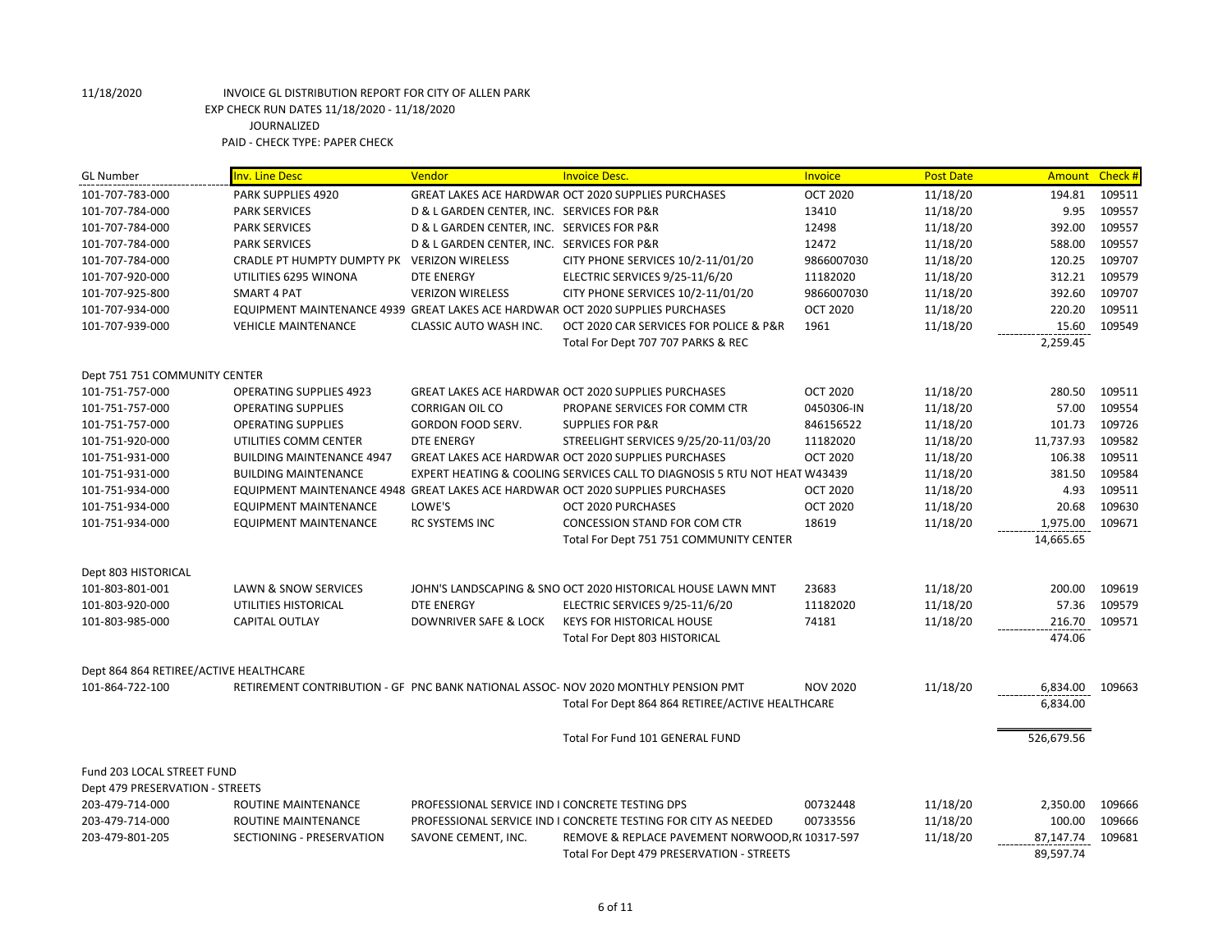| <b>GL Number</b>                       | <b>Inv. Line Desc</b>                                                          | Vendor                                          | <b>Invoice Desc.</b>                                                               | Invoice         | <b>Post Date</b> | Amount Check # |        |
|----------------------------------------|--------------------------------------------------------------------------------|-------------------------------------------------|------------------------------------------------------------------------------------|-----------------|------------------|----------------|--------|
| 101-707-783-000                        | PARK SUPPLIES 4920                                                             |                                                 | <b>GREAT LAKES ACE HARDWAR OCT 2020 SUPPLIES PURCHASES</b>                         | <b>OCT 2020</b> | 11/18/20         | 194.81         | 109511 |
| 101-707-784-000                        | <b>PARK SERVICES</b>                                                           | D & L GARDEN CENTER, INC. SERVICES FOR P&R      |                                                                                    | 13410           | 11/18/20         | 9.95           | 109557 |
| 101-707-784-000                        | <b>PARK SERVICES</b>                                                           | D & L GARDEN CENTER, INC. SERVICES FOR P&R      |                                                                                    | 12498           | 11/18/20         | 392.00         | 109557 |
| 101-707-784-000                        | <b>PARK SERVICES</b>                                                           | D & L GARDEN CENTER, INC. SERVICES FOR P&R      |                                                                                    | 12472           | 11/18/20         | 588.00         | 109557 |
| 101-707-784-000                        | CRADLE PT HUMPTY DUMPTY PK VERIZON WIRELESS                                    |                                                 | CITY PHONE SERVICES 10/2-11/01/20                                                  | 9866007030      | 11/18/20         | 120.25         | 109707 |
| 101-707-920-000                        | UTILITIES 6295 WINONA                                                          | <b>DTE ENERGY</b>                               | ELECTRIC SERVICES 9/25-11/6/20                                                     | 11182020        | 11/18/20         | 312.21         | 109579 |
| 101-707-925-800                        | <b>SMART 4 PAT</b>                                                             | <b>VERIZON WIRELESS</b>                         | CITY PHONE SERVICES 10/2-11/01/20                                                  | 9866007030      | 11/18/20         | 392.60         | 109707 |
| 101-707-934-000                        | EQUIPMENT MAINTENANCE 4939 GREAT LAKES ACE HARDWAR OCT 2020 SUPPLIES PURCHASES |                                                 |                                                                                    | <b>OCT 2020</b> | 11/18/20         | 220.20         | 109511 |
| 101-707-939-000                        | <b>VEHICLE MAINTENANCE</b>                                                     | CLASSIC AUTO WASH INC.                          | OCT 2020 CAR SERVICES FOR POLICE & P&R                                             | 1961            | 11/18/20         | 15.60          | 109549 |
|                                        |                                                                                |                                                 | Total For Dept 707 707 PARKS & REC                                                 |                 |                  | 2,259.45       |        |
| Dept 751 751 COMMUNITY CENTER          |                                                                                |                                                 |                                                                                    |                 |                  |                |        |
| 101-751-757-000                        | <b>OPERATING SUPPLIES 4923</b>                                                 |                                                 | <b>GREAT LAKES ACE HARDWAR OCT 2020 SUPPLIES PURCHASES</b>                         | <b>OCT 2020</b> | 11/18/20         | 280.50         | 109511 |
| 101-751-757-000                        | <b>OPERATING SUPPLIES</b>                                                      | <b>CORRIGAN OIL CO</b>                          | PROPANE SERVICES FOR COMM CTR                                                      | 0450306-IN      | 11/18/20         | 57.00          | 109554 |
| 101-751-757-000                        | <b>OPERATING SUPPLIES</b>                                                      | GORDON FOOD SERV.                               | <b>SUPPLIES FOR P&amp;R</b>                                                        | 846156522       | 11/18/20         | 101.73         | 109726 |
| 101-751-920-000                        | UTILITIES COMM CENTER                                                          | <b>DTE ENERGY</b>                               | STREELIGHT SERVICES 9/25/20-11/03/20                                               | 11182020        | 11/18/20         | 11,737.93      | 109582 |
| 101-751-931-000                        | <b>BUILDING MAINTENANCE 4947</b>                                               |                                                 | GREAT LAKES ACE HARDWAR OCT 2020 SUPPLIES PURCHASES                                | <b>OCT 2020</b> | 11/18/20         | 106.38         | 109511 |
| 101-751-931-000                        | <b>BUILDING MAINTENANCE</b>                                                    |                                                 | EXPERT HEATING & COOLING SERVICES CALL TO DIAGNOSIS 5 RTU NOT HEAT W43439          |                 | 11/18/20         | 381.50         | 109584 |
| 101-751-934-000                        | EQUIPMENT MAINTENANCE 4948 GREAT LAKES ACE HARDWAR OCT 2020 SUPPLIES PURCHASES |                                                 |                                                                                    | <b>OCT 2020</b> | 11/18/20         | 4.93           | 109511 |
| 101-751-934-000                        | <b>EQUIPMENT MAINTENANCE</b>                                                   | LOWE'S                                          | OCT 2020 PURCHASES                                                                 | <b>OCT 2020</b> | 11/18/20         | 20.68          | 109630 |
| 101-751-934-000                        | <b>EQUIPMENT MAINTENANCE</b>                                                   | <b>RC SYSTEMS INC</b>                           | <b>CONCESSION STAND FOR COM CTR</b>                                                | 18619           | 11/18/20         | 1,975.00       | 109671 |
|                                        |                                                                                |                                                 | Total For Dept 751 751 COMMUNITY CENTER                                            |                 |                  | 14,665.65      |        |
| Dept 803 HISTORICAL                    |                                                                                |                                                 |                                                                                    |                 |                  |                |        |
| 101-803-801-001                        | LAWN & SNOW SERVICES                                                           |                                                 | JOHN'S LANDSCAPING & SNO OCT 2020 HISTORICAL HOUSE LAWN MNT                        | 23683           | 11/18/20         | 200.00         | 109619 |
| 101-803-920-000                        | UTILITIES HISTORICAL                                                           | <b>DTE ENERGY</b>                               | ELECTRIC SERVICES 9/25-11/6/20                                                     | 11182020        | 11/18/20         | 57.36          | 109579 |
| 101-803-985-000                        | CAPITAL OUTLAY                                                                 | DOWNRIVER SAFE & LOCK                           | <b>KEYS FOR HISTORICAL HOUSE</b>                                                   | 74181           | 11/18/20         | 216.70         | 109571 |
|                                        |                                                                                |                                                 | Total For Dept 803 HISTORICAL                                                      |                 |                  | 474.06         |        |
| Dept 864 864 RETIREE/ACTIVE HEALTHCARE |                                                                                |                                                 |                                                                                    |                 |                  |                |        |
| 101-864-722-100                        |                                                                                |                                                 | RETIREMENT CONTRIBUTION - GF PNC BANK NATIONAL ASSOC- NOV 2020 MONTHLY PENSION PMT | <b>NOV 2020</b> | 11/18/20         | 6,834.00       | 109663 |
|                                        |                                                                                |                                                 | Total For Dept 864 864 RETIREE/ACTIVE HEALTHCARE                                   |                 |                  | 6,834.00       |        |
|                                        |                                                                                |                                                 |                                                                                    |                 |                  |                |        |
|                                        |                                                                                |                                                 | Total For Fund 101 GENERAL FUND                                                    |                 |                  | 526,679.56     |        |
| Fund 203 LOCAL STREET FUND             |                                                                                |                                                 |                                                                                    |                 |                  |                |        |
| Dept 479 PRESERVATION - STREETS        |                                                                                |                                                 |                                                                                    |                 |                  |                |        |
| 203-479-714-000                        | ROUTINE MAINTENANCE                                                            | PROFESSIONAL SERVICE IND I CONCRETE TESTING DPS |                                                                                    | 00732448        | 11/18/20         | 2,350.00       | 109666 |
| 203-479-714-000                        | ROUTINE MAINTENANCE                                                            |                                                 | PROFESSIONAL SERVICE IND I CONCRETE TESTING FOR CITY AS NEEDED                     | 00733556        | 11/18/20         | 100.00         | 109666 |
| 203-479-801-205                        | SECTIONING - PRESERVATION                                                      | SAVONE CEMENT, INC.                             | REMOVE & REPLACE PAVEMENT NORWOOD, R(10317-597                                     |                 | 11/18/20         | 87,147.74      | 109681 |
|                                        |                                                                                |                                                 | Total For Dept 479 PRESERVATION - STREETS                                          |                 |                  | 89,597.74      |        |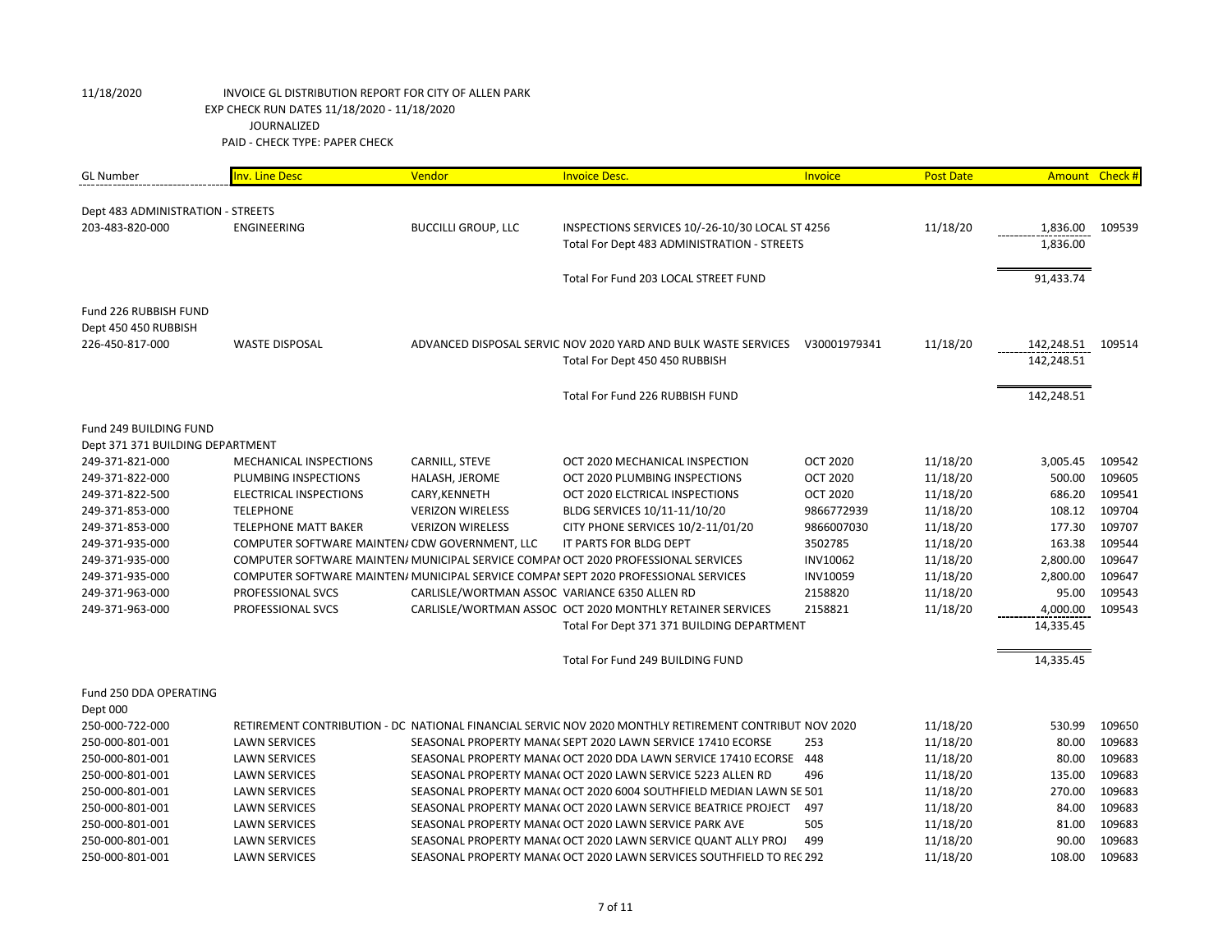| <b>GL Number</b>                  | <b>Inv. Line Desc</b>                          | Vendor                                        | <b>Invoice Desc.</b>                                                                                  | Invoice         | <b>Post Date</b> | Amount Check # |        |
|-----------------------------------|------------------------------------------------|-----------------------------------------------|-------------------------------------------------------------------------------------------------------|-----------------|------------------|----------------|--------|
|                                   |                                                |                                               |                                                                                                       |                 |                  |                |        |
| Dept 483 ADMINISTRATION - STREETS |                                                |                                               |                                                                                                       |                 |                  |                |        |
| 203-483-820-000                   | <b>ENGINEERING</b>                             | <b>BUCCILLI GROUP, LLC</b>                    | INSPECTIONS SERVICES 10/-26-10/30 LOCAL ST 4256                                                       |                 | 11/18/20         | 1,836.00       | 109539 |
|                                   |                                                |                                               | Total For Dept 483 ADMINISTRATION - STREETS                                                           |                 |                  | 1,836.00       |        |
|                                   |                                                |                                               | Total For Fund 203 LOCAL STREET FUND                                                                  |                 |                  | 91,433.74      |        |
|                                   |                                                |                                               |                                                                                                       |                 |                  |                |        |
| Fund 226 RUBBISH FUND             |                                                |                                               |                                                                                                       |                 |                  |                |        |
| Dept 450 450 RUBBISH              |                                                |                                               |                                                                                                       |                 |                  |                |        |
| 226-450-817-000                   | <b>WASTE DISPOSAL</b>                          |                                               | ADVANCED DISPOSAL SERVIC NOV 2020 YARD AND BULK WASTE SERVICES                                        | V30001979341    | 11/18/20         | 142,248.51     | 109514 |
|                                   |                                                |                                               | Total For Dept 450 450 RUBBISH                                                                        |                 |                  | 142,248.51     |        |
|                                   |                                                |                                               |                                                                                                       |                 |                  |                |        |
|                                   |                                                |                                               | Total For Fund 226 RUBBISH FUND                                                                       |                 |                  | 142,248.51     |        |
|                                   |                                                |                                               |                                                                                                       |                 |                  |                |        |
| Fund 249 BUILDING FUND            |                                                |                                               |                                                                                                       |                 |                  |                |        |
| Dept 371 371 BUILDING DEPARTMENT  |                                                |                                               |                                                                                                       |                 |                  |                |        |
| 249-371-821-000                   | MECHANICAL INSPECTIONS                         | CARNILL, STEVE                                | OCT 2020 MECHANICAL INSPECTION                                                                        | <b>OCT 2020</b> | 11/18/20         | 3,005.45       | 109542 |
| 249-371-822-000                   | PLUMBING INSPECTIONS                           | HALASH, JEROME                                | OCT 2020 PLUMBING INSPECTIONS                                                                         | <b>OCT 2020</b> | 11/18/20         | 500.00         | 109605 |
| 249-371-822-500                   | <b>ELECTRICAL INSPECTIONS</b>                  | CARY, KENNETH                                 | OCT 2020 ELCTRICAL INSPECTIONS                                                                        | <b>OCT 2020</b> | 11/18/20         | 686.20         | 109541 |
| 249-371-853-000                   | <b>TELEPHONE</b>                               | <b>VERIZON WIRELESS</b>                       | BLDG SERVICES 10/11-11/10/20                                                                          | 9866772939      | 11/18/20         | 108.12         | 109704 |
| 249-371-853-000                   | <b>TELEPHONE MATT BAKER</b>                    | <b>VERIZON WIRELESS</b>                       | CITY PHONE SERVICES 10/2-11/01/20                                                                     | 9866007030      | 11/18/20         | 177.30         | 109707 |
| 249-371-935-000                   | COMPUTER SOFTWARE MAINTEN/ CDW GOVERNMENT, LLC |                                               | IT PARTS FOR BLDG DEPT                                                                                | 3502785         | 11/18/20         | 163.38         | 109544 |
| 249-371-935-000                   |                                                |                                               | COMPUTER SOFTWARE MAINTEN/ MUNICIPAL SERVICE COMPAI OCT 2020 PROFESSIONAL SERVICES                    | <b>INV10062</b> | 11/18/20         | 2,800.00       | 109647 |
| 249-371-935-000                   |                                                |                                               | COMPUTER SOFTWARE MAINTEN/ MUNICIPAL SERVICE COMPAI SEPT 2020 PROFESSIONAL SERVICES                   | <b>INV10059</b> | 11/18/20         | 2,800.00       | 109647 |
| 249-371-963-000                   | PROFESSIONAL SVCS                              | CARLISLE/WORTMAN ASSOC VARIANCE 6350 ALLEN RD |                                                                                                       | 2158820         | 11/18/20         | 95.00          | 109543 |
| 249-371-963-000                   | PROFESSIONAL SVCS                              |                                               | CARLISLE/WORTMAN ASSOC OCT 2020 MONTHLY RETAINER SERVICES                                             | 2158821         | 11/18/20         | 4,000.00       | 109543 |
|                                   |                                                |                                               | Total For Dept 371 371 BUILDING DEPARTMENT                                                            |                 |                  | 14,335.45      |        |
|                                   |                                                |                                               |                                                                                                       |                 |                  |                |        |
|                                   |                                                |                                               | Total For Fund 249 BUILDING FUND                                                                      |                 |                  | 14,335.45      |        |
| Fund 250 DDA OPERATING            |                                                |                                               |                                                                                                       |                 |                  |                |        |
| Dept 000                          |                                                |                                               |                                                                                                       |                 |                  |                |        |
| 250-000-722-000                   |                                                |                                               | RETIREMENT CONTRIBUTION - DC NATIONAL FINANCIAL SERVIC NOV 2020 MONTHLY RETIREMENT CONTRIBUT NOV 2020 |                 | 11/18/20         | 530.99         | 109650 |
| 250-000-801-001                   | <b>LAWN SERVICES</b>                           |                                               | SEASONAL PROPERTY MANA( SEPT 2020 LAWN SERVICE 17410 ECORSE                                           | 253             | 11/18/20         | 80.00          | 109683 |
| 250-000-801-001                   | <b>LAWN SERVICES</b>                           |                                               | SEASONAL PROPERTY MANA( OCT 2020 DDA LAWN SERVICE 17410 ECORSE 448                                    |                 | 11/18/20         | 80.00          | 109683 |
| 250-000-801-001                   | <b>LAWN SERVICES</b>                           |                                               | SEASONAL PROPERTY MANA( OCT 2020 LAWN SERVICE 5223 ALLEN RD                                           | 496             | 11/18/20         | 135.00         | 109683 |
| 250-000-801-001                   | <b>LAWN SERVICES</b>                           |                                               | SEASONAL PROPERTY MANA( OCT 2020 6004 SOUTHFIELD MEDIAN LAWN SE 501                                   |                 | 11/18/20         | 270.00         | 109683 |
| 250-000-801-001                   | <b>LAWN SERVICES</b>                           |                                               | SEASONAL PROPERTY MANA( OCT 2020 LAWN SERVICE BEATRICE PROJECT                                        | 497             | 11/18/20         | 84.00          | 109683 |
| 250-000-801-001                   | <b>LAWN SERVICES</b>                           |                                               | SEASONAL PROPERTY MANA( OCT 2020 LAWN SERVICE PARK AVE                                                | 505             | 11/18/20         | 81.00          | 109683 |
| 250-000-801-001                   | <b>LAWN SERVICES</b>                           |                                               | SEASONAL PROPERTY MANA( OCT 2020 LAWN SERVICE QUANT ALLY PROJ                                         | 499             | 11/18/20         | 90.00          | 109683 |
| 250-000-801-001                   | <b>LAWN SERVICES</b>                           |                                               | SEASONAL PROPERTY MANA( OCT 2020 LAWN SERVICES SOUTHFIELD TO REC 292                                  |                 | 11/18/20         | 108.00         | 109683 |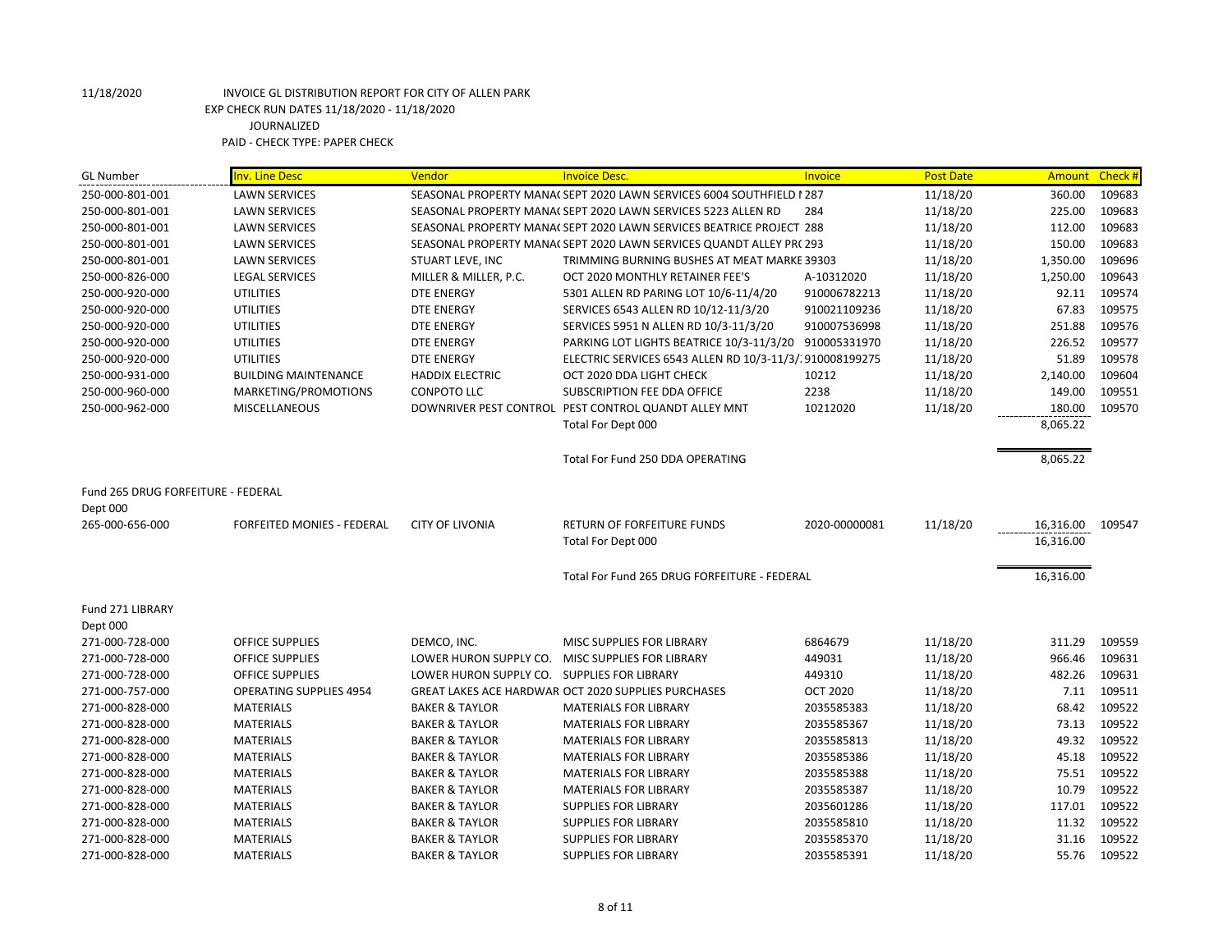### 11/18/2020 INVOICE GL DISTRIBUTION REPORT FOR CITY OF ALLEN PARK EXP CHECK RUN DATES 11/18/2020 - 11/18/2020 JOURNALIZED

PAID - CHECK TYPE: PAPER CHECK

| <b>GL Number</b>                   | <b>Inv. Line Desc</b>             | Vendor                                      | <b>Invoice Desc.</b>                                                 | Invoice         | <b>Post Date</b> | Amount    | Check # |
|------------------------------------|-----------------------------------|---------------------------------------------|----------------------------------------------------------------------|-----------------|------------------|-----------|---------|
| 250-000-801-001                    | <b>LAWN SERVICES</b>              |                                             | SEASONAL PROPERTY MANA( SEPT 2020 LAWN SERVICES 6004 SOUTHFIELD 1287 |                 | 11/18/20         | 360.00    | 109683  |
| 250-000-801-001                    | <b>LAWN SERVICES</b>              |                                             | SEASONAL PROPERTY MANA( SEPT 2020 LAWN SERVICES 5223 ALLEN RD        | 284             | 11/18/20         | 225.00    | 109683  |
| 250-000-801-001                    | <b>LAWN SERVICES</b>              |                                             | SEASONAL PROPERTY MANA( SEPT 2020 LAWN SERVICES BEATRICE PROJECT 288 |                 | 11/18/20         | 112.00    | 109683  |
| 250-000-801-001                    | <b>LAWN SERVICES</b>              |                                             | SEASONAL PROPERTY MANA( SEPT 2020 LAWN SERVICES QUANDT ALLEY PR( 293 |                 | 11/18/20         | 150.00    | 109683  |
| 250-000-801-001                    | <b>LAWN SERVICES</b>              | STUART LEVE, INC                            | TRIMMING BURNING BUSHES AT MEAT MARKE 39303                          |                 | 11/18/20         | 1,350.00  | 109696  |
| 250-000-826-000                    | <b>LEGAL SERVICES</b>             | MILLER & MILLER, P.C.                       | OCT 2020 MONTHLY RETAINER FEE'S                                      | A-10312020      | 11/18/20         | 1,250.00  | 109643  |
| 250-000-920-000                    | <b>UTILITIES</b>                  | <b>DTE ENERGY</b>                           | 5301 ALLEN RD PARING LOT 10/6-11/4/20                                | 910006782213    | 11/18/20         | 92.11     | 109574  |
| 250-000-920-000                    | <b>UTILITIES</b>                  | <b>DTE ENERGY</b>                           | SERVICES 6543 ALLEN RD 10/12-11/3/20                                 | 910021109236    | 11/18/20         | 67.83     | 109575  |
| 250-000-920-000                    | <b>UTILITIES</b>                  | <b>DTE ENERGY</b>                           | SERVICES 5951 N ALLEN RD 10/3-11/3/20                                | 910007536998    | 11/18/20         | 251.88    | 109576  |
| 250-000-920-000                    | <b>UTILITIES</b>                  | <b>DTE ENERGY</b>                           | PARKING LOT LIGHTS BEATRICE 10/3-11/3/20 910005331970                |                 | 11/18/20         | 226.52    | 109577  |
| 250-000-920-000                    | <b>UTILITIES</b>                  | <b>DTE ENERGY</b>                           | ELECTRIC SERVICES 6543 ALLEN RD 10/3-11/3/.910008199275              |                 | 11/18/20         | 51.89     | 109578  |
| 250-000-931-000                    | <b>BUILDING MAINTENANCE</b>       | <b>HADDIX ELECTRIC</b>                      | OCT 2020 DDA LIGHT CHECK                                             | 10212           | 11/18/20         | 2,140.00  | 109604  |
| 250-000-960-000                    | MARKETING/PROMOTIONS              | CONPOTO LLC                                 | SUBSCRIPTION FEE DDA OFFICE                                          | 2238            | 11/18/20         | 149.00    | 109551  |
| 250-000-962-000                    | <b>MISCELLANEOUS</b>              |                                             | DOWNRIVER PEST CONTROL PEST CONTROL QUANDT ALLEY MNT                 | 10212020        | 11/18/20         | 180.00    | 109570  |
|                                    |                                   |                                             | Total For Dept 000                                                   |                 |                  | 8,065.22  |         |
|                                    |                                   |                                             | Total For Fund 250 DDA OPERATING                                     |                 |                  | 8,065.22  |         |
| Fund 265 DRUG FORFEITURE - FEDERAL |                                   |                                             |                                                                      |                 |                  |           |         |
| Dept 000                           |                                   |                                             |                                                                      |                 |                  |           |         |
| 265-000-656-000                    | <b>FORFEITED MONIES - FEDERAL</b> | <b>CITY OF LIVONIA</b>                      | <b>RETURN OF FORFEITURE FUNDS</b>                                    | 2020-00000081   | 11/18/20         | 16,316.00 | 109547  |
|                                    |                                   |                                             | Total For Dept 000                                                   |                 |                  | 16,316.00 |         |
|                                    |                                   |                                             | Total For Fund 265 DRUG FORFEITURE - FEDERAL                         |                 |                  | 16,316.00 |         |
| Fund 271 LIBRARY<br>Dept 000       |                                   |                                             |                                                                      |                 |                  |           |         |
| 271-000-728-000                    | <b>OFFICE SUPPLIES</b>            | DEMCO, INC.                                 | MISC SUPPLIES FOR LIBRARY                                            | 6864679         | 11/18/20         | 311.29    | 109559  |
| 271-000-728-000                    | OFFICE SUPPLIES                   |                                             | LOWER HURON SUPPLY CO. MISC SUPPLIES FOR LIBRARY                     | 449031          | 11/18/20         | 966.46    | 109631  |
| 271-000-728-000                    | <b>OFFICE SUPPLIES</b>            | LOWER HURON SUPPLY CO. SUPPLIES FOR LIBRARY |                                                                      | 449310          | 11/18/20         | 482.26    | 109631  |
| 271-000-757-000                    | <b>OPERATING SUPPLIES 4954</b>    |                                             | GREAT LAKES ACE HARDWAR OCT 2020 SUPPLIES PURCHASES                  | <b>OCT 2020</b> | 11/18/20         | 7.11      | 109511  |
| 271-000-828-000                    | <b>MATERIALS</b>                  | <b>BAKER &amp; TAYLOR</b>                   | <b>MATERIALS FOR LIBRARY</b>                                         | 2035585383      | 11/18/20         | 68.42     | 109522  |
| 271-000-828-000                    | <b>MATERIALS</b>                  | <b>BAKER &amp; TAYLOR</b>                   | <b>MATERIALS FOR LIBRARY</b>                                         | 2035585367      | 11/18/20         | 73.13     | 109522  |
| 271-000-828-000                    | <b>MATERIALS</b>                  | <b>BAKER &amp; TAYLOR</b>                   | <b>MATERIALS FOR LIBRARY</b>                                         | 2035585813      | 11/18/20         | 49.32     | 109522  |
| 271-000-828-000                    | <b>MATERIALS</b>                  | <b>BAKER &amp; TAYLOR</b>                   | <b>MATERIALS FOR LIBRARY</b>                                         | 2035585386      | 11/18/20         | 45.18     | 109522  |
| 271-000-828-000                    | <b>MATERIALS</b>                  | <b>BAKER &amp; TAYLOR</b>                   | <b>MATERIALS FOR LIBRARY</b>                                         | 2035585388      | 11/18/20         | 75.51     | 109522  |
| 271-000-828-000                    | <b>MATERIALS</b>                  | <b>BAKER &amp; TAYLOR</b>                   | <b>MATERIALS FOR LIBRARY</b>                                         | 2035585387      | 11/18/20         | 10.79     | 109522  |
| 271-000-828-000                    | <b>MATERIALS</b>                  | <b>BAKER &amp; TAYLOR</b>                   | <b>SUPPLIES FOR LIBRARY</b>                                          | 2035601286      | 11/18/20         | 117.01    | 109522  |
| 271-000-828-000                    | <b>MATERIALS</b>                  | <b>BAKER &amp; TAYLOR</b>                   | <b>SUPPLIES FOR LIBRARY</b>                                          | 2035585810      | 11/18/20         | 11.32     | 109522  |
| 271-000-828-000                    | <b>MATERIALS</b>                  | <b>BAKER &amp; TAYLOR</b>                   | <b>SUPPLIES FOR LIBRARY</b>                                          | 2035585370      | 11/18/20         | 31.16     | 109522  |
| 271-000-828-000                    | <b>MATERIALS</b>                  | <b>BAKER &amp; TAYLOR</b>                   | <b>SUPPLIES FOR LIBRARY</b>                                          | 2035585391      | 11/18/20         | 55.76     | 109522  |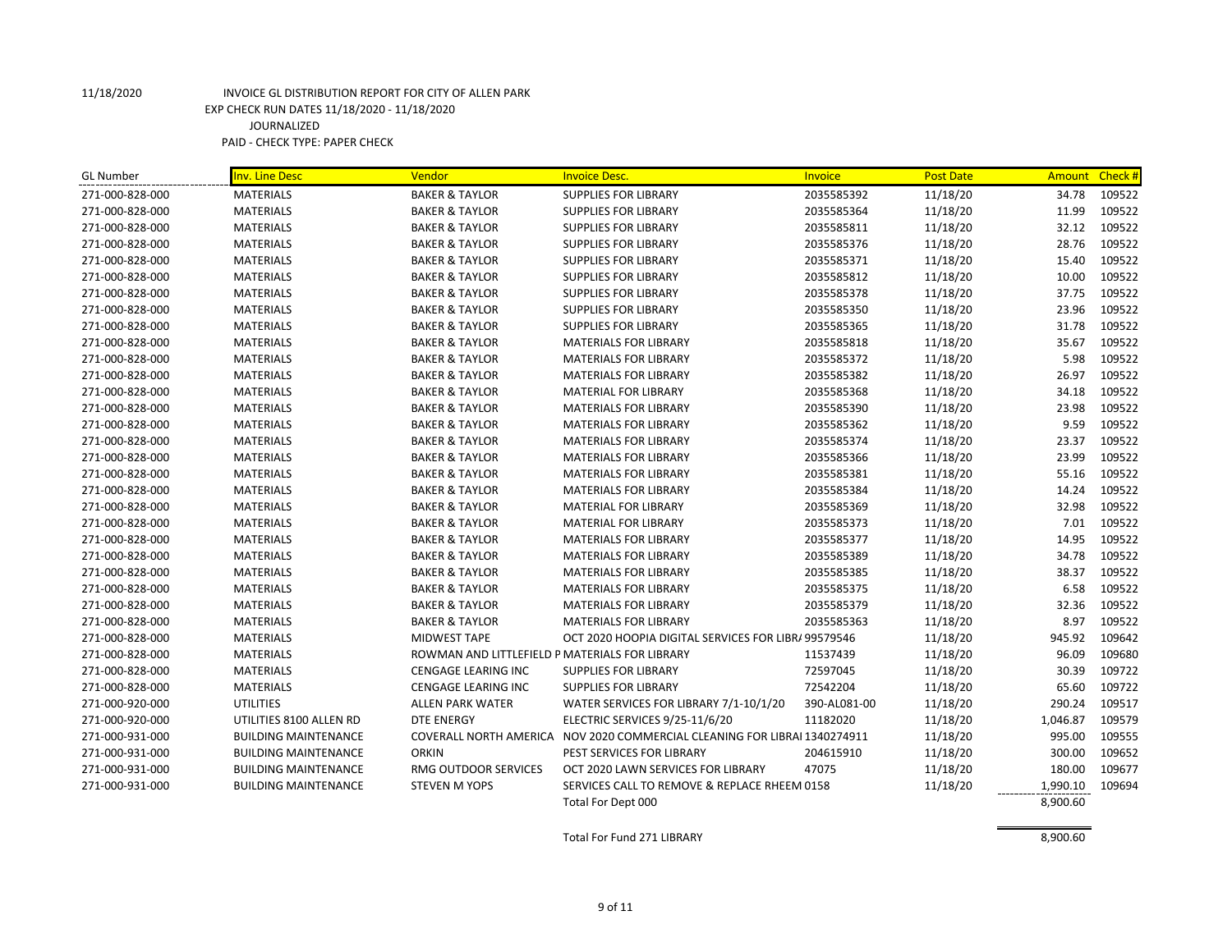| <b>GL Number</b> | <b>Inv. Line Desc</b>       | Vendor                                         | <b>Invoice Desc.</b>                                                      | Invoice      | <b>Post Date</b> | <b>Amount</b> | Check# |
|------------------|-----------------------------|------------------------------------------------|---------------------------------------------------------------------------|--------------|------------------|---------------|--------|
| 271-000-828-000  | <b>MATERIALS</b>            | <b>BAKER &amp; TAYLOR</b>                      | <b>SUPPLIES FOR LIBRARY</b>                                               | 2035585392   | 11/18/20         | 34.78         | 109522 |
| 271-000-828-000  | <b>MATERIALS</b>            | <b>BAKER &amp; TAYLOR</b>                      | <b>SUPPLIES FOR LIBRARY</b>                                               | 2035585364   | 11/18/20         | 11.99         | 109522 |
| 271-000-828-000  | <b>MATERIALS</b>            | <b>BAKER &amp; TAYLOR</b>                      | <b>SUPPLIES FOR LIBRARY</b>                                               | 2035585811   | 11/18/20         | 32.12         | 109522 |
| 271-000-828-000  | <b>MATERIALS</b>            | <b>BAKER &amp; TAYLOR</b>                      | <b>SUPPLIES FOR LIBRARY</b>                                               | 2035585376   | 11/18/20         | 28.76         | 109522 |
| 271-000-828-000  | <b>MATERIALS</b>            | <b>BAKER &amp; TAYLOR</b>                      | <b>SUPPLIES FOR LIBRARY</b>                                               | 2035585371   | 11/18/20         | 15.40         | 109522 |
| 271-000-828-000  | <b>MATERIALS</b>            | <b>BAKER &amp; TAYLOR</b>                      | <b>SUPPLIES FOR LIBRARY</b>                                               | 2035585812   | 11/18/20         | 10.00         | 109522 |
| 271-000-828-000  | <b>MATERIALS</b>            | <b>BAKER &amp; TAYLOR</b>                      | <b>SUPPLIES FOR LIBRARY</b>                                               | 2035585378   | 11/18/20         | 37.75         | 109522 |
| 271-000-828-000  | <b>MATERIALS</b>            | <b>BAKER &amp; TAYLOR</b>                      | <b>SUPPLIES FOR LIBRARY</b>                                               | 2035585350   | 11/18/20         | 23.96         | 109522 |
| 271-000-828-000  | <b>MATERIALS</b>            | <b>BAKER &amp; TAYLOR</b>                      | <b>SUPPLIES FOR LIBRARY</b>                                               | 2035585365   | 11/18/20         | 31.78         | 109522 |
| 271-000-828-000  | <b>MATERIALS</b>            | <b>BAKER &amp; TAYLOR</b>                      | <b>MATERIALS FOR LIBRARY</b>                                              | 2035585818   | 11/18/20         | 35.67         | 109522 |
| 271-000-828-000  | <b>MATERIALS</b>            | <b>BAKER &amp; TAYLOR</b>                      | <b>MATERIALS FOR LIBRARY</b>                                              | 2035585372   | 11/18/20         | 5.98          | 109522 |
| 271-000-828-000  | <b>MATERIALS</b>            | <b>BAKER &amp; TAYLOR</b>                      | <b>MATERIALS FOR LIBRARY</b>                                              | 2035585382   | 11/18/20         | 26.97         | 109522 |
| 271-000-828-000  | <b>MATERIALS</b>            | <b>BAKER &amp; TAYLOR</b>                      | <b>MATERIAL FOR LIBRARY</b>                                               | 2035585368   | 11/18/20         | 34.18         | 109522 |
| 271-000-828-000  | <b>MATERIALS</b>            | <b>BAKER &amp; TAYLOR</b>                      | <b>MATERIALS FOR LIBRARY</b>                                              | 2035585390   | 11/18/20         | 23.98         | 109522 |
| 271-000-828-000  | <b>MATERIALS</b>            | <b>BAKER &amp; TAYLOR</b>                      | <b>MATERIALS FOR LIBRARY</b>                                              | 2035585362   | 11/18/20         | 9.59          | 109522 |
| 271-000-828-000  | <b>MATERIALS</b>            | <b>BAKER &amp; TAYLOR</b>                      | <b>MATERIALS FOR LIBRARY</b>                                              | 2035585374   | 11/18/20         | 23.37         | 109522 |
| 271-000-828-000  | <b>MATERIALS</b>            | <b>BAKER &amp; TAYLOR</b>                      | <b>MATERIALS FOR LIBRARY</b>                                              | 2035585366   | 11/18/20         | 23.99         | 109522 |
| 271-000-828-000  | <b>MATERIALS</b>            | <b>BAKER &amp; TAYLOR</b>                      | <b>MATERIALS FOR LIBRARY</b>                                              | 2035585381   | 11/18/20         | 55.16         | 109522 |
| 271-000-828-000  | <b>MATERIALS</b>            | <b>BAKER &amp; TAYLOR</b>                      | <b>MATERIALS FOR LIBRARY</b>                                              | 2035585384   | 11/18/20         | 14.24         | 109522 |
| 271-000-828-000  | <b>MATERIALS</b>            | <b>BAKER &amp; TAYLOR</b>                      | <b>MATERIAL FOR LIBRARY</b>                                               | 2035585369   | 11/18/20         | 32.98         | 109522 |
| 271-000-828-000  | <b>MATERIALS</b>            | <b>BAKER &amp; TAYLOR</b>                      | <b>MATERIAL FOR LIBRARY</b>                                               | 2035585373   | 11/18/20         | 7.01          | 109522 |
| 271-000-828-000  | <b>MATERIALS</b>            | <b>BAKER &amp; TAYLOR</b>                      | <b>MATERIALS FOR LIBRARY</b>                                              | 2035585377   | 11/18/20         | 14.95         | 109522 |
| 271-000-828-000  | <b>MATERIALS</b>            | <b>BAKER &amp; TAYLOR</b>                      | <b>MATERIALS FOR LIBRARY</b>                                              | 2035585389   | 11/18/20         | 34.78         | 109522 |
| 271-000-828-000  | <b>MATERIALS</b>            | <b>BAKER &amp; TAYLOR</b>                      | <b>MATERIALS FOR LIBRARY</b>                                              | 2035585385   | 11/18/20         | 38.37         | 109522 |
| 271-000-828-000  | <b>MATERIALS</b>            | <b>BAKER &amp; TAYLOR</b>                      | <b>MATERIALS FOR LIBRARY</b>                                              | 2035585375   | 11/18/20         | 6.58          | 109522 |
| 271-000-828-000  | <b>MATERIALS</b>            | <b>BAKER &amp; TAYLOR</b>                      | <b>MATERIALS FOR LIBRARY</b>                                              | 2035585379   | 11/18/20         | 32.36         | 109522 |
| 271-000-828-000  | <b>MATERIALS</b>            | <b>BAKER &amp; TAYLOR</b>                      | <b>MATERIALS FOR LIBRARY</b>                                              | 2035585363   | 11/18/20         | 8.97          | 109522 |
| 271-000-828-000  | <b>MATERIALS</b>            | <b>MIDWEST TAPE</b>                            | OCT 2020 HOOPIA DIGITAL SERVICES FOR LIBR/ 99579546                       |              | 11/18/20         | 945.92        | 109642 |
| 271-000-828-000  | <b>MATERIALS</b>            | ROWMAN AND LITTLEFIELD P MATERIALS FOR LIBRARY |                                                                           | 11537439     | 11/18/20         | 96.09         | 109680 |
| 271-000-828-000  | <b>MATERIALS</b>            | <b>CENGAGE LEARING INC</b>                     | <b>SUPPLIES FOR LIBRARY</b>                                               | 72597045     | 11/18/20         | 30.39         | 109722 |
| 271-000-828-000  | <b>MATERIALS</b>            | CENGAGE LEARING INC                            | <b>SUPPLIES FOR LIBRARY</b>                                               | 72542204     | 11/18/20         | 65.60         | 109722 |
| 271-000-920-000  | <b>UTILITIES</b>            | ALLEN PARK WATER                               | WATER SERVICES FOR LIBRARY 7/1-10/1/20                                    | 390-AL081-00 | 11/18/20         | 290.24        | 109517 |
| 271-000-920-000  | UTILITIES 8100 ALLEN RD     | <b>DTE ENERGY</b>                              | ELECTRIC SERVICES 9/25-11/6/20                                            | 11182020     | 11/18/20         | 1,046.87      | 109579 |
| 271-000-931-000  | <b>BUILDING MAINTENANCE</b> |                                                | COVERALL NORTH AMERICA NOV 2020 COMMERCIAL CLEANING FOR LIBRAI 1340274911 |              | 11/18/20         | 995.00        | 109555 |
| 271-000-931-000  | <b>BUILDING MAINTENANCE</b> | ORKIN                                          | PEST SERVICES FOR LIBRARY                                                 | 204615910    | 11/18/20         | 300.00        | 109652 |
| 271-000-931-000  | <b>BUILDING MAINTENANCE</b> | RMG OUTDOOR SERVICES                           | OCT 2020 LAWN SERVICES FOR LIBRARY                                        | 47075        | 11/18/20         | 180.00        | 109677 |
| 271-000-931-000  | <b>BUILDING MAINTENANCE</b> | <b>STEVEN M YOPS</b>                           | SERVICES CALL TO REMOVE & REPLACE RHEEM 0158                              |              | 11/18/20         | 1,990.10      | 109694 |
|                  |                             |                                                | Total For Dept 000                                                        |              |                  | 8,900.60      |        |

Total For Fund 271 LIBRARY 8,900.60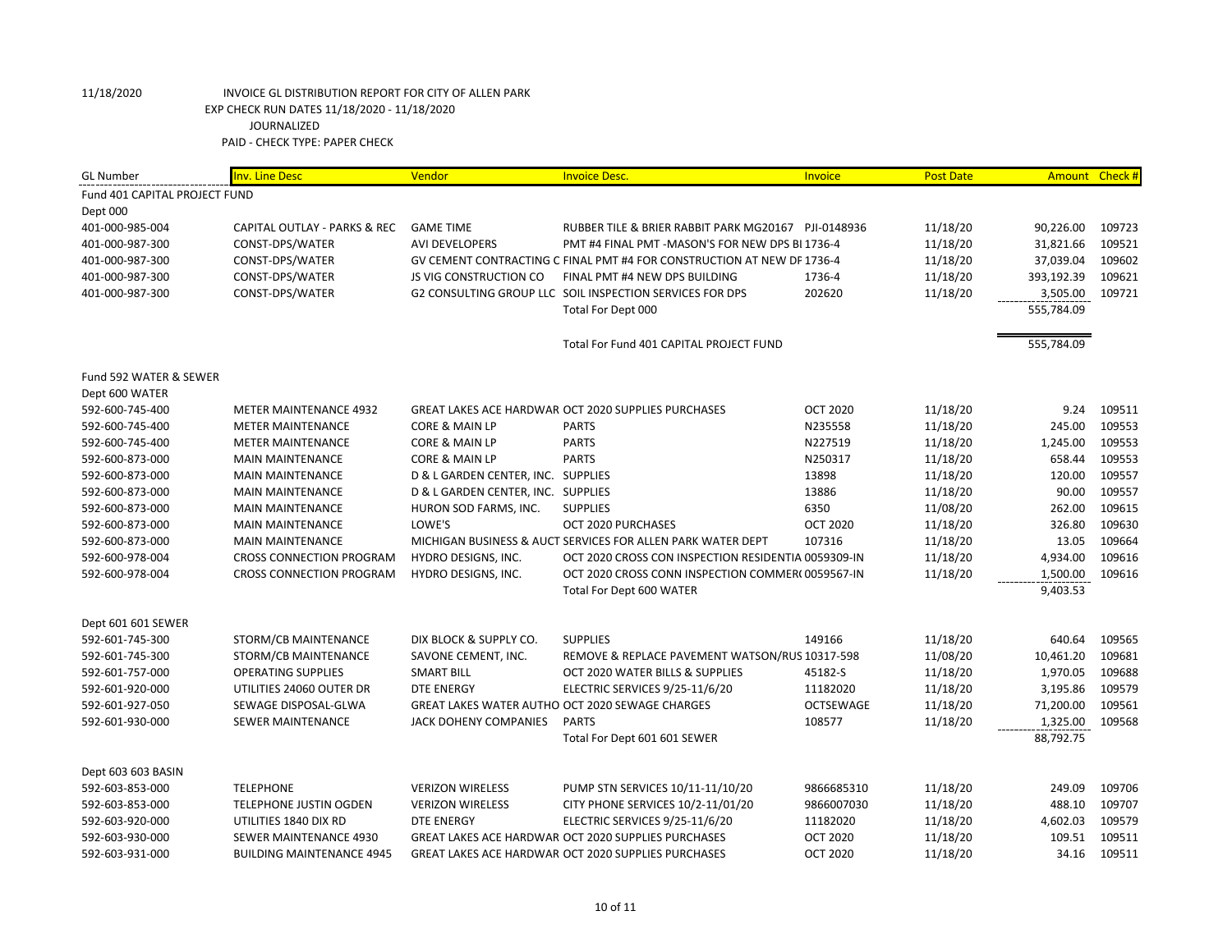| <b>GL Number</b>              | <b>Inv. Line Desc</b>            | Vendor                             | <b>Invoice Desc.</b>                                                   | Invoice         | <b>Post Date</b> | Amount Check # |        |
|-------------------------------|----------------------------------|------------------------------------|------------------------------------------------------------------------|-----------------|------------------|----------------|--------|
| Fund 401 CAPITAL PROJECT FUND |                                  |                                    |                                                                        |                 |                  |                |        |
| Dept 000                      |                                  |                                    |                                                                        |                 |                  |                |        |
| 401-000-985-004               | CAPITAL OUTLAY - PARKS & REC     | <b>GAME TIME</b>                   | RUBBER TILE & BRIER RABBIT PARK MG20167 PJI-0148936                    |                 | 11/18/20         | 90,226.00      | 109723 |
| 401-000-987-300               | CONST-DPS/WATER                  | <b>AVI DEVELOPERS</b>              | PMT #4 FINAL PMT -MASON'S FOR NEW DPS BL1736-4                         |                 | 11/18/20         | 31,821.66      | 109521 |
| 401-000-987-300               | CONST-DPS/WATER                  |                                    | GV CEMENT CONTRACTING C FINAL PMT #4 FOR CONSTRUCTION AT NEW DP 1736-4 |                 | 11/18/20         | 37,039.04      | 109602 |
| 401-000-987-300               | CONST-DPS/WATER                  | <b>JS VIG CONSTRUCTION CO</b>      | FINAL PMT #4 NEW DPS BUILDING                                          | 1736-4          | 11/18/20         | 393,192.39     | 109621 |
| 401-000-987-300               | CONST-DPS/WATER                  |                                    | G2 CONSULTING GROUP LLC SOIL INSPECTION SERVICES FOR DPS               | 202620          | 11/18/20         | 3,505.00       | 109721 |
|                               |                                  |                                    | Total For Dept 000                                                     |                 |                  | 555,784.09     |        |
|                               |                                  |                                    |                                                                        |                 |                  |                |        |
|                               |                                  |                                    | Total For Fund 401 CAPITAL PROJECT FUND                                |                 |                  | 555,784.09     |        |
| Fund 592 WATER & SEWER        |                                  |                                    |                                                                        |                 |                  |                |        |
| Dept 600 WATER                |                                  |                                    |                                                                        |                 |                  |                |        |
| 592-600-745-400               | <b>METER MAINTENANCE 4932</b>    |                                    | <b>GREAT LAKES ACE HARDWAR OCT 2020 SUPPLIES PURCHASES</b>             | <b>OCT 2020</b> | 11/18/20         | 9.24           | 109511 |
| 592-600-745-400               | <b>METER MAINTENANCE</b>         | CORE & MAIN LP                     | <b>PARTS</b>                                                           | N235558         | 11/18/20         | 245.00         | 109553 |
| 592-600-745-400               | <b>METER MAINTENANCE</b>         | CORE & MAIN LP                     | <b>PARTS</b>                                                           | N227519         | 11/18/20         | 1,245.00       | 109553 |
| 592-600-873-000               | <b>MAIN MAINTENANCE</b>          | CORE & MAIN LP                     | <b>PARTS</b>                                                           | N250317         | 11/18/20         | 658.44         | 109553 |
| 592-600-873-000               | <b>MAIN MAINTENANCE</b>          | D & L GARDEN CENTER, INC. SUPPLIES |                                                                        | 13898           | 11/18/20         | 120.00         | 109557 |
| 592-600-873-000               | <b>MAIN MAINTENANCE</b>          | D & L GARDEN CENTER, INC. SUPPLIES |                                                                        | 13886           | 11/18/20         | 90.00          | 109557 |
| 592-600-873-000               | <b>MAIN MAINTENANCE</b>          | HURON SOD FARMS, INC.              | <b>SUPPLIES</b>                                                        | 6350            | 11/08/20         | 262.00         | 109615 |
| 592-600-873-000               | <b>MAIN MAINTENANCE</b>          | LOWE'S                             | OCT 2020 PURCHASES                                                     | <b>OCT 2020</b> | 11/18/20         | 326.80         | 109630 |
| 592-600-873-000               | <b>MAIN MAINTENANCE</b>          |                                    | MICHIGAN BUSINESS & AUCT SERVICES FOR ALLEN PARK WATER DEPT            | 107316          | 11/18/20         | 13.05          | 109664 |
| 592-600-978-004               | <b>CROSS CONNECTION PROGRAM</b>  | HYDRO DESIGNS, INC.                | OCT 2020 CROSS CON INSPECTION RESIDENTIA 0059309-IN                    |                 | 11/18/20         | 4,934.00       | 109616 |
| 592-600-978-004               | <b>CROSS CONNECTION PROGRAM</b>  | HYDRO DESIGNS, INC.                | OCT 2020 CROSS CONN INSPECTION COMMER(0059567-IN                       |                 | 11/18/20         | 1,500.00       | 109616 |
|                               |                                  |                                    | Total For Dept 600 WATER                                               |                 |                  | 9,403.53       |        |
| Dept 601 601 SEWER            |                                  |                                    |                                                                        |                 |                  |                |        |
| 592-601-745-300               | STORM/CB MAINTENANCE             | DIX BLOCK & SUPPLY CO.             | <b>SUPPLIES</b>                                                        | 149166          | 11/18/20         | 640.64         | 109565 |
| 592-601-745-300               | STORM/CB MAINTENANCE             | SAVONE CEMENT, INC.                | REMOVE & REPLACE PAVEMENT WATSON/RUS 10317-598                         |                 | 11/08/20         | 10,461.20      | 109681 |
| 592-601-757-000               | <b>OPERATING SUPPLIES</b>        | <b>SMART BILL</b>                  | OCT 2020 WATER BILLS & SUPPLIES                                        | 45182-S         | 11/18/20         | 1,970.05       | 109688 |
| 592-601-920-000               | UTILITIES 24060 OUTER DR         | <b>DTE ENERGY</b>                  | ELECTRIC SERVICES 9/25-11/6/20                                         | 11182020        | 11/18/20         | 3,195.86       | 109579 |
| 592-601-927-050               | SEWAGE DISPOSAL-GLWA             |                                    | GREAT LAKES WATER AUTHO OCT 2020 SEWAGE CHARGES                        | OCTSEWAGE       | 11/18/20         | 71,200.00      | 109561 |
| 592-601-930-000               | <b>SEWER MAINTENANCE</b>         | JACK DOHENY COMPANIES              | <b>PARTS</b>                                                           | 108577          | 11/18/20         | 1,325.00       | 109568 |
|                               |                                  |                                    | Total For Dept 601 601 SEWER                                           |                 |                  | 88,792.75      |        |
| Dept 603 603 BASIN            |                                  |                                    |                                                                        |                 |                  |                |        |
| 592-603-853-000               | <b>TELEPHONE</b>                 | <b>VERIZON WIRELESS</b>            | PUMP STN SERVICES 10/11-11/10/20                                       | 9866685310      | 11/18/20         | 249.09         | 109706 |
| 592-603-853-000               | TELEPHONE JUSTIN OGDEN           | <b>VERIZON WIRELESS</b>            | CITY PHONE SERVICES 10/2-11/01/20                                      | 9866007030      | 11/18/20         | 488.10         | 109707 |
| 592-603-920-000               | UTILITIES 1840 DIX RD            | <b>DTE ENERGY</b>                  | ELECTRIC SERVICES 9/25-11/6/20                                         | 11182020        | 11/18/20         | 4,602.03       | 109579 |
| 592-603-930-000               | SEWER MAINTENANCE 4930           |                                    | GREAT LAKES ACE HARDWAR OCT 2020 SUPPLIES PURCHASES                    | <b>OCT 2020</b> | 11/18/20         | 109.51         | 109511 |
| 592-603-931-000               | <b>BUILDING MAINTENANCE 4945</b> |                                    | <b>GREAT LAKES ACE HARDWAR OCT 2020 SUPPLIES PURCHASES</b>             | <b>OCT 2020</b> | 11/18/20         | 34.16          | 109511 |